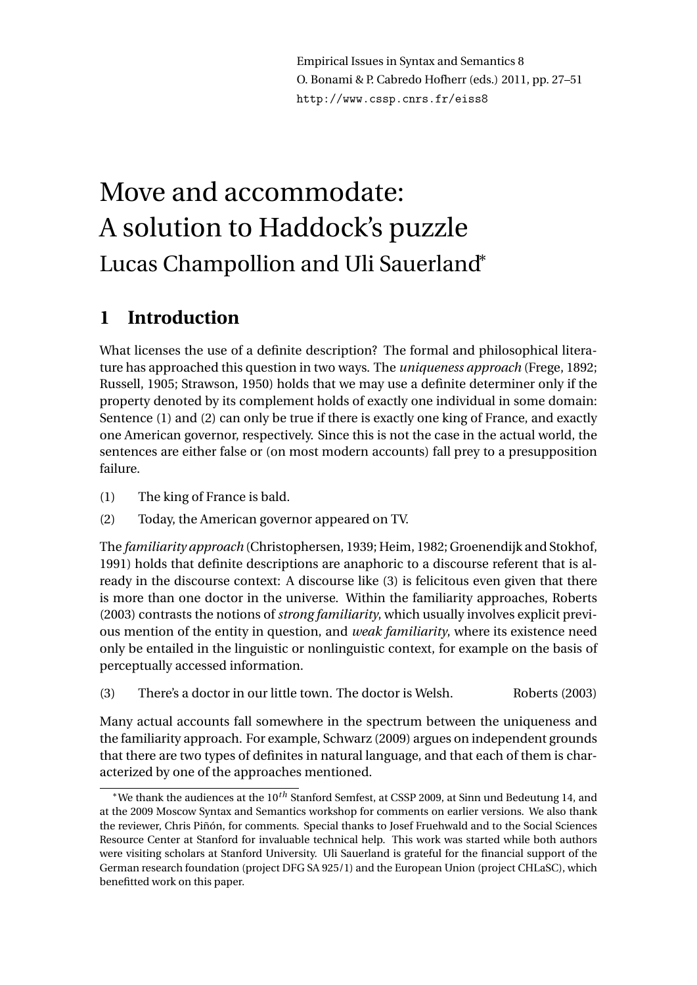Empirical Issues in Syntax and Semantics 8 O. Bonami & P. Cabredo Hofherr (eds.) 2011, pp. 27–51 http://www.cssp.cnrs.fr/eiss8

# Move and accommodate: A solution to Haddock's puzzle Lucas Champollion and Uli Sauerland<sup>∗</sup>

# **1 Introduction**

What licenses the use of a definite description? The formal and philosophical literature has approached this question in two ways. The *uniqueness approach* (Frege, 1892; Russell, 1905; Strawson, 1950) holds that we may use a definite determiner only if the property denoted by its complement holds of exactly one individual in some domain: Sentence (1) and (2) can only be true if there is exactly one king of France, and exactly one American governor, respectively. Since this is not the case in the actual world, the sentences are either false or (on most modern accounts) fall prey to a presupposition failure.

- (1) The king of France is bald.
- (2) Today, the American governor appeared on TV.

The *familiarity approach* (Christophersen, 1939; Heim, 1982; Groenendijk and Stokhof, 1991) holds that definite descriptions are anaphoric to a discourse referent that is already in the discourse context: A discourse like (3) is felicitous even given that there is more than one doctor in the universe. Within the familiarity approaches, Roberts (2003) contrasts the notions of *strong familiarity*, which usually involves explicit previous mention of the entity in question, and *weak familiarity*, where its existence need only be entailed in the linguistic or nonlinguistic context, for example on the basis of perceptually accessed information.

(3) There's a doctor in our little town. The doctor is Welsh. Roberts (2003)

Many actual accounts fall somewhere in the spectrum between the uniqueness and the familiarity approach. For example, Schwarz (2009) argues on independent grounds that there are two types of definites in natural language, and that each of them is characterized by one of the approaches mentioned.

<sup>∗</sup>We thank the audiences at the 10*th* Stanford Semfest, at CSSP 2009, at Sinn und Bedeutung 14, and at the 2009 Moscow Syntax and Semantics workshop for comments on earlier versions. We also thank the reviewer, Chris Piñón, for comments. Special thanks to Josef Fruehwald and to the Social Sciences Resource Center at Stanford for invaluable technical help. This work was started while both authors were visiting scholars at Stanford University. Uli Sauerland is grateful for the financial support of the German research foundation (project DFG SA 925/1) and the European Union (project CHLaSC), which benefitted work on this paper.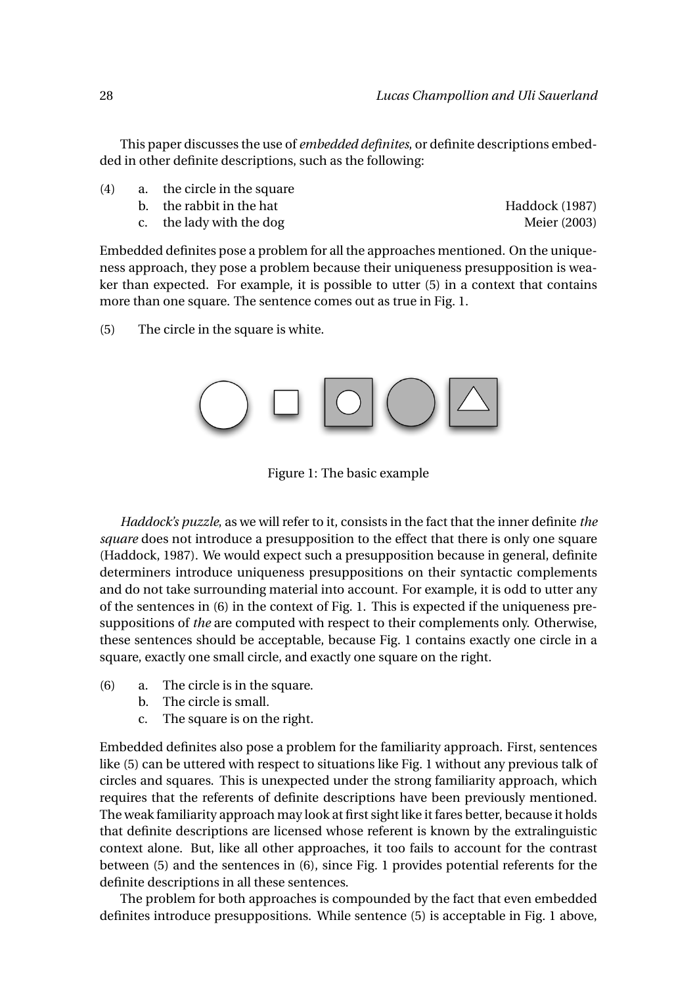This paper discusses the use of *embedded definites*, or definite descriptions embedded in other definite descriptions, such as the following:

- (4) a. the circle in the square
	- b. the rabbit in the hat Haddock (1987)

c. the lady with the dog Meier (2003)

Embedded definites pose a problem for all the approaches mentioned. On the uniqueness approach, they pose a problem because their uniqueness presupposition is weaker than expected. For example, it is possible to utter (5) in a context that contains

more than one square. The sentence comes out as true in Fig. 1.

(5) The circle in the square is white.



Figure 1: The basic example

*Haddock's puzzle*, as we will refer to it, consists in the fact that the inner definite *the square* does not introduce a presupposition to the effect that there is only one square (Haddock, 1987). We would expect such a presupposition because in general, definite determiners introduce uniqueness presuppositions on their syntactic complements and do not take surrounding material into account. For example, it is odd to utter any of the sentences in (6) in the context of Fig. 1. This is expected if the uniqueness presuppositions of *the* are computed with respect to their complements only. Otherwise, these sentences should be acceptable, because Fig. 1 contains exactly one circle in a square, exactly one small circle, and exactly one square on the right.

- (6) a. The circle is in the square.
	- b. The circle is small.
	- c. The square is on the right.

Embedded definites also pose a problem for the familiarity approach. First, sentences like (5) can be uttered with respect to situations like Fig. 1 without any previous talk of circles and squares. This is unexpected under the strong familiarity approach, which requires that the referents of definite descriptions have been previously mentioned. The weak familiarity approach may look at first sight like it fares better, because it holds that definite descriptions are licensed whose referent is known by the extralinguistic context alone. But, like all other approaches, it too fails to account for the contrast between (5) and the sentences in (6), since Fig. 1 provides potential referents for the definite descriptions in all these sentences.

The problem for both approaches is compounded by the fact that even embedded definites introduce presuppositions. While sentence (5) is acceptable in Fig. 1 above,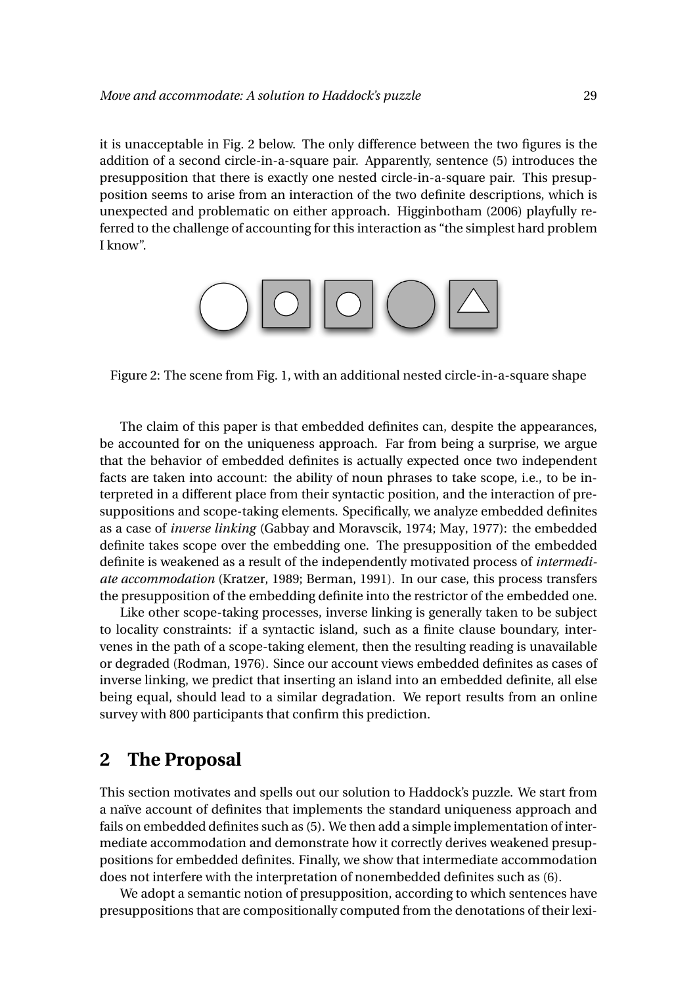it is unacceptable in Fig. 2 below. The only difference between the two figures is the addition of a second circle-in-a-square pair. Apparently, sentence (5) introduces the presupposition that there is exactly one nested circle-in-a-square pair. This presupposition seems to arise from an interaction of the two definite descriptions, which is unexpected and problematic on either approach. Higginbotham (2006) playfully referred to the challenge of accounting for this interaction as "the simplest hard problem I know".



Figure 2: The scene from Fig. 1, with an additional nested circle-in-a-square shape

The claim of this paper is that embedded definites can, despite the appearances, be accounted for on the uniqueness approach. Far from being a surprise, we argue that the behavior of embedded definites is actually expected once two independent facts are taken into account: the ability of noun phrases to take scope, i.e., to be interpreted in a different place from their syntactic position, and the interaction of presuppositions and scope-taking elements. Specifically, we analyze embedded definites as a case of *inverse linking* (Gabbay and Moravscik, 1974; May, 1977): the embedded definite takes scope over the embedding one. The presupposition of the embedded definite is weakened as a result of the independently motivated process of *intermediate accommodation* (Kratzer, 1989; Berman, 1991). In our case, this process transfers the presupposition of the embedding definite into the restrictor of the embedded one.

Like other scope-taking processes, inverse linking is generally taken to be subject to locality constraints: if a syntactic island, such as a finite clause boundary, intervenes in the path of a scope-taking element, then the resulting reading is unavailable or degraded (Rodman, 1976). Since our account views embedded definites as cases of inverse linking, we predict that inserting an island into an embedded definite, all else being equal, should lead to a similar degradation. We report results from an online survey with 800 participants that confirm this prediction.

## **2 The Proposal**

This section motivates and spells out our solution to Haddock's puzzle. We start from a naïve account of definites that implements the standard uniqueness approach and fails on embedded definites such as (5). We then add a simple implementation of intermediate accommodation and demonstrate how it correctly derives weakened presuppositions for embedded definites. Finally, we show that intermediate accommodation does not interfere with the interpretation of nonembedded definites such as (6).

We adopt a semantic notion of presupposition, according to which sentences have presuppositions that are compositionally computed from the denotations of their lexi-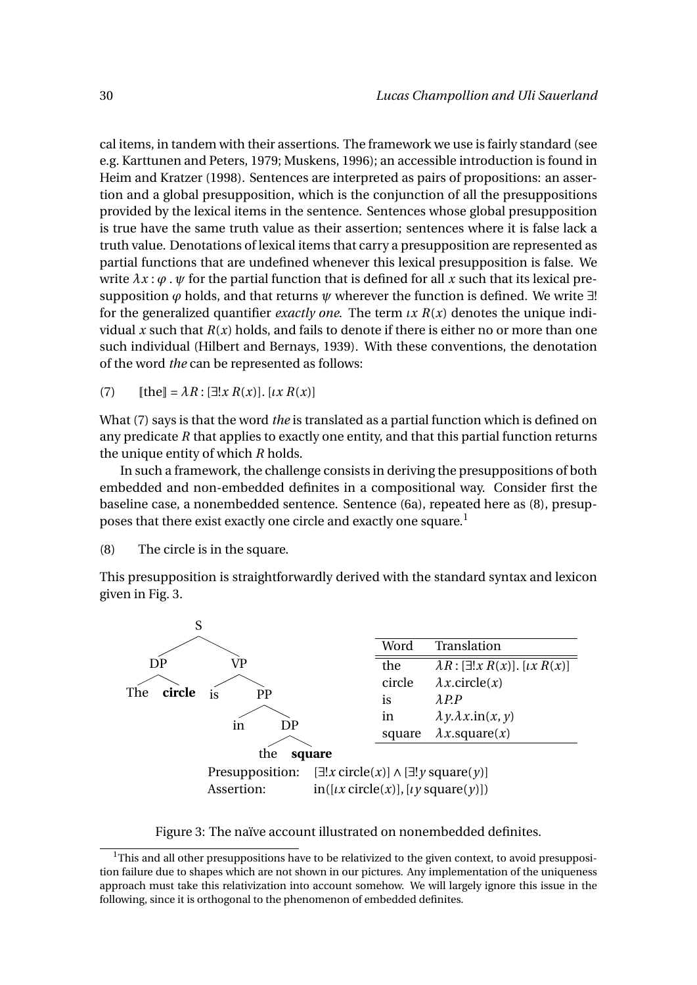cal items, in tandem with their assertions. The framework we use is fairly standard (see e.g. Karttunen and Peters, 1979; Muskens, 1996); an accessible introduction is found in Heim and Kratzer (1998). Sentences are interpreted as pairs of propositions: an assertion and a global presupposition, which is the conjunction of all the presuppositions provided by the lexical items in the sentence. Sentences whose global presupposition is true have the same truth value as their assertion; sentences where it is false lack a truth value. Denotations of lexical items that carry a presupposition are represented as partial functions that are undefined whenever this lexical presupposition is false. We write  $\lambda x : \varphi$ .  $\psi$  for the partial function that is defined for all x such that its lexical presupposition  $\varphi$  holds, and that returns  $\psi$  wherever the function is defined. We write  $\exists$ ! for the generalized quantifier *exactly one*. The term *ιx R*(*x*) denotes the unique individual *x* such that  $R(x)$  holds, and fails to denote if there is either no or more than one such individual (Hilbert and Bernays, 1939). With these conventions, the denotation of the word *the* can be represented as follows:

(7)  $[\text{the}] = \lambda R : [\exists ! x R(x)]. [\iota x R(x)]$ 

What (7) says is that the word *the* is translated as a partial function which is defined on any predicate *R* that applies to exactly one entity, and that this partial function returns the unique entity of which *R* holds.

In such a framework, the challenge consists in deriving the presuppositions of both embedded and non-embedded definites in a compositional way. Consider first the baseline case, a nonembedded sentence. Sentence (6a), repeated here as (8), presupposes that there exist exactly one circle and exactly one square.<sup>1</sup>

(8) The circle is in the square.

This presupposition is straightforwardly derived with the standard syntax and lexicon given in Fig. 3.



Figure 3: The naïve account illustrated on nonembedded definites.

 $1$ This and all other presuppositions have to be relativized to the given context, to avoid presupposition failure due to shapes which are not shown in our pictures. Any implementation of the uniqueness approach must take this relativization into account somehow. We will largely ignore this issue in the following, since it is orthogonal to the phenomenon of embedded definites.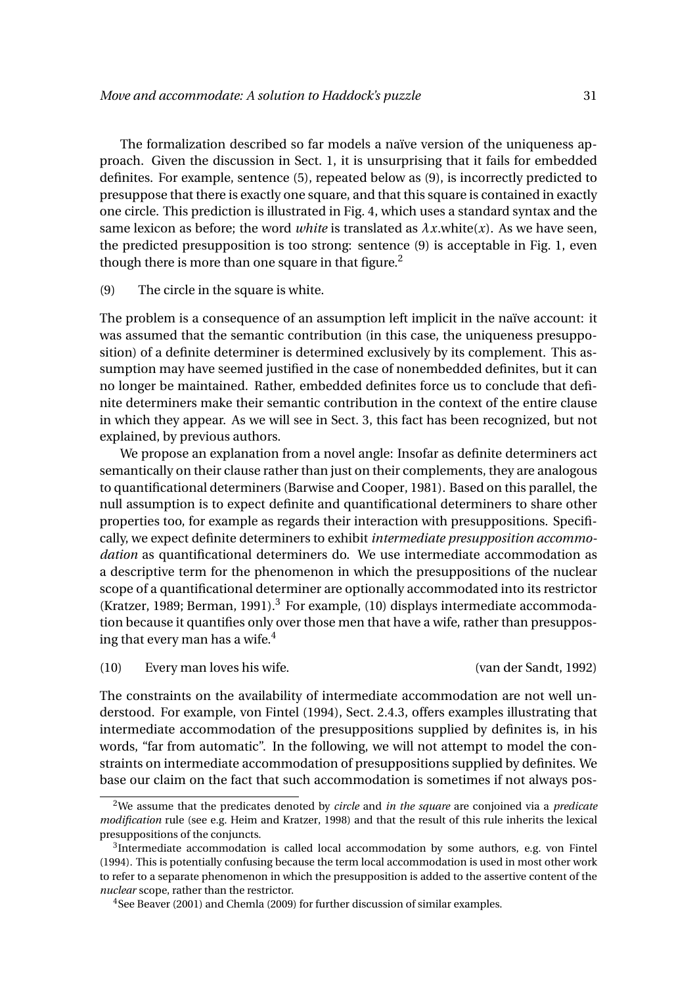The formalization described so far models a naïve version of the uniqueness approach. Given the discussion in Sect. 1, it is unsurprising that it fails for embedded definites. For example, sentence (5), repeated below as (9), is incorrectly predicted to presuppose that there is exactly one square, and that this square is contained in exactly one circle. This prediction is illustrated in Fig. 4, which uses a standard syntax and the same lexicon as before; the word *white* is translated as  $\lambda x$ .white $(x)$ . As we have seen, the predicted presupposition is too strong: sentence (9) is acceptable in Fig. 1, even though there is more than one square in that figure.<sup>2</sup>

#### (9) The circle in the square is white.

The problem is a consequence of an assumption left implicit in the naïve account: it was assumed that the semantic contribution (in this case, the uniqueness presupposition) of a definite determiner is determined exclusively by its complement. This assumption may have seemed justified in the case of nonembedded definites, but it can no longer be maintained. Rather, embedded definites force us to conclude that definite determiners make their semantic contribution in the context of the entire clause in which they appear. As we will see in Sect. 3, this fact has been recognized, but not explained, by previous authors.

We propose an explanation from a novel angle: Insofar as definite determiners act semantically on their clause rather than just on their complements, they are analogous to quantificational determiners (Barwise and Cooper, 1981). Based on this parallel, the null assumption is to expect definite and quantificational determiners to share other properties too, for example as regards their interaction with presuppositions. Specifically, we expect definite determiners to exhibit *intermediate presupposition accommodation* as quantificational determiners do. We use intermediate accommodation as a descriptive term for the phenomenon in which the presuppositions of the nuclear scope of a quantificational determiner are optionally accommodated into its restrictor (Kratzer, 1989; Berman, 1991).<sup>3</sup> For example, (10) displays intermediate accommodation because it quantifies only over those men that have a wife, rather than presupposing that every man has a wife.<sup>4</sup>

(10) Every man loves his wife. (van der Sandt, 1992)

The constraints on the availability of intermediate accommodation are not well understood. For example, von Fintel (1994), Sect. 2.4.3, offers examples illustrating that intermediate accommodation of the presuppositions supplied by definites is, in his words, "far from automatic". In the following, we will not attempt to model the constraints on intermediate accommodation of presuppositions supplied by definites. We base our claim on the fact that such accommodation is sometimes if not always pos-

<sup>2</sup>We assume that the predicates denoted by *circle* and *in the square* are conjoined via a *predicate modification* rule (see e.g. Heim and Kratzer, 1998) and that the result of this rule inherits the lexical presuppositions of the conjuncts.

 $3$ Intermediate accommodation is called local accommodation by some authors, e.g. von Fintel (1994). This is potentially confusing because the term local accommodation is used in most other work to refer to a separate phenomenon in which the presupposition is added to the assertive content of the *nuclear* scope, rather than the restrictor.

<sup>&</sup>lt;sup>4</sup>See Beaver (2001) and Chemla (2009) for further discussion of similar examples.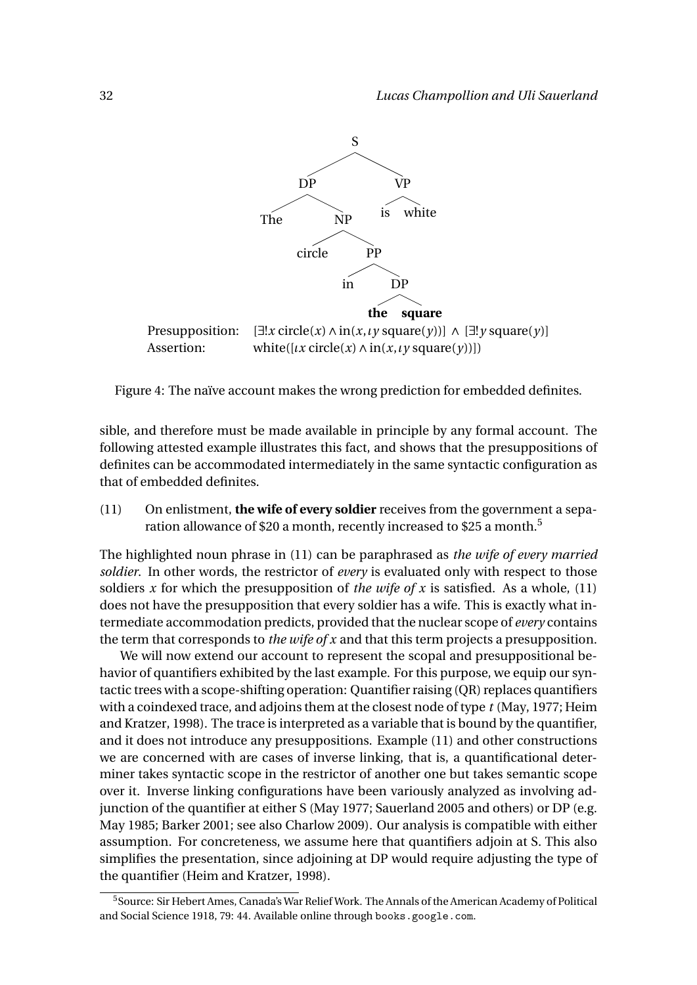

Figure 4: The naïve account makes the wrong prediction for embedded definites.

sible, and therefore must be made available in principle by any formal account. The following attested example illustrates this fact, and shows that the presuppositions of definites can be accommodated intermediately in the same syntactic configuration as that of embedded definites.

(11) On enlistment, **the wife of every soldier** receives from the government a separation allowance of \$20 a month, recently increased to \$25 a month.<sup>5</sup>

The highlighted noun phrase in (11) can be paraphrased as *the wife of every married soldier*. In other words, the restrictor of *every* is evaluated only with respect to those soldiers *x* for which the presupposition of *the wife of x* is satisfied. As a whole, (11) does not have the presupposition that every soldier has a wife. This is exactly what intermediate accommodation predicts, provided that the nuclear scope of *every* contains the term that corresponds to *the wife of x* and that this term projects a presupposition.

We will now extend our account to represent the scopal and presuppositional behavior of quantifiers exhibited by the last example. For this purpose, we equip our syntactic trees with a scope-shifting operation: Quantifier raising (QR) replaces quantifiers with a coindexed trace, and adjoins them at the closest node of type *t* (May, 1977; Heim and Kratzer, 1998). The trace is interpreted as a variable that is bound by the quantifier, and it does not introduce any presuppositions. Example (11) and other constructions we are concerned with are cases of inverse linking, that is, a quantificational determiner takes syntactic scope in the restrictor of another one but takes semantic scope over it. Inverse linking configurations have been variously analyzed as involving adjunction of the quantifier at either S (May 1977; Sauerland 2005 and others) or DP (e.g. May 1985; Barker 2001; see also Charlow 2009). Our analysis is compatible with either assumption. For concreteness, we assume here that quantifiers adjoin at S. This also simplifies the presentation, since adjoining at DP would require adjusting the type of the quantifier (Heim and Kratzer, 1998).

<sup>5</sup>Source: Sir Hebert Ames, Canada's War Relief Work. The Annals of the American Academy of Political and Social Science 1918, 79: 44. Available online through books.google.com.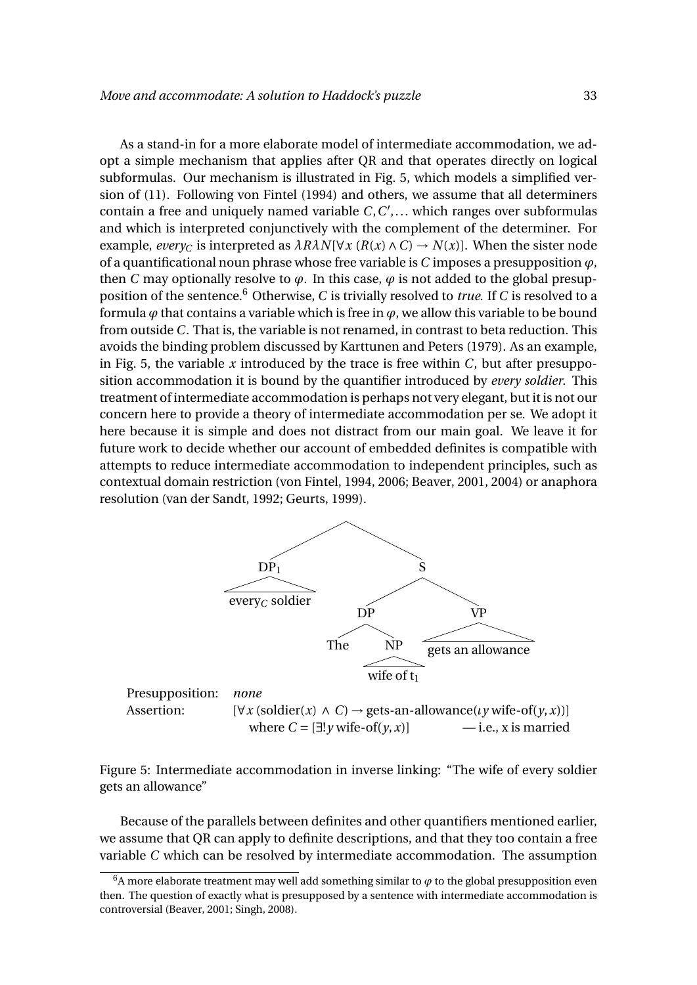As a stand-in for a more elaborate model of intermediate accommodation, we adopt a simple mechanism that applies after QR and that operates directly on logical subformulas. Our mechanism is illustrated in Fig. 5, which models a simplified version of (11). Following von Fintel (1994) and others, we assume that all determiners contain a free and uniquely named variable *C*, *C'*,... which ranges over subformulas and which is interpreted conjunctively with the complement of the determiner. For example, *every*<sub>*C*</sub> is interpreted as  $\lambda R\lambda N[\forall x (R(x) \land C) \rightarrow N(x)]$ . When the sister node of a quantificational noun phrase whose free variable is  $C$  imposes a presupposition  $\varphi$ , then *C* may optionally resolve to  $\varphi$ . In this case,  $\varphi$  is not added to the global presupposition of the sentence.<sup>6</sup> Otherwise, *C* is trivially resolved to *true*. If *C* is resolved to a formula  $\varphi$  that contains a variable which is free in  $\varphi$ , we allow this variable to be bound from outside *C*. That is, the variable is not renamed, in contrast to beta reduction. This avoids the binding problem discussed by Karttunen and Peters (1979). As an example, in Fig. 5, the variable *x* introduced by the trace is free within *C*, but after presupposition accommodation it is bound by the quantifier introduced by *every soldier*. This treatment of intermediate accommodation is perhaps not very elegant, but it is not our concern here to provide a theory of intermediate accommodation per se. We adopt it here because it is simple and does not distract from our main goal. We leave it for future work to decide whether our account of embedded definites is compatible with attempts to reduce intermediate accommodation to independent principles, such as contextual domain restriction (von Fintel, 1994, 2006; Beaver, 2001, 2004) or anaphora resolution (van der Sandt, 1992; Geurts, 1999).



Figure 5: Intermediate accommodation in inverse linking: "The wife of every soldier gets an allowance"

Because of the parallels between definites and other quantifiers mentioned earlier, we assume that QR can apply to definite descriptions, and that they too contain a free variable *C* which can be resolved by intermediate accommodation. The assumption

 $6A$  more elaborate treatment may well add something similar to  $\varphi$  to the global presupposition even then. The question of exactly what is presupposed by a sentence with intermediate accommodation is controversial (Beaver, 2001; Singh, 2008).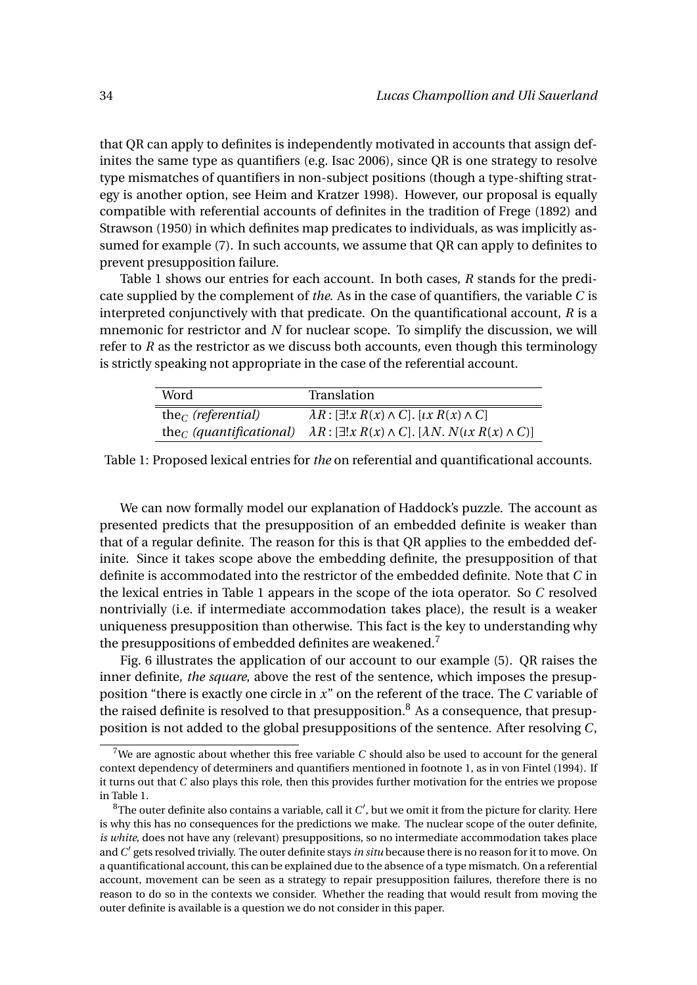that QR can apply to definites is independently motivated in accounts that assign definites the same type as quantifiers (e.g. Isac 2006), since QR is one strategy to resolve type mismatches of quantifiers in non-subject positions (though a type-shifting strategy is another option, see Heim and Kratzer 1998). However, our proposal is equally compatible with referential accounts of definites in the tradition of Frege (1892) and Strawson (1950) in which definites map predicates to individuals, as was implicitly assumed for example (7). In such accounts, we assume that QR can apply to definites to prevent presupposition failure.

Table 1 shows our entries for each account. In both cases, *R* stands for the predicate supplied by the complement of *the*. As in the case of quantifiers, the variable *C* is interpreted conjunctively with that predicate. On the quantificational account, *R* is a mnemonic for restrictor and *N* for nuclear scope. To simplify the discussion, we will refer to *R* as the restrictor as we discuss both accounts, even though this terminology is strictly speaking not appropriate in the case of the referential account.

| Word                                | Translation                                                                           |
|-------------------------------------|---------------------------------------------------------------------------------------|
| the <sub>C</sub> (referential)      | $\lambda R: [\exists ! x R(x) \wedge C]$ . [ $\iota x R(x) \wedge C$ ]                |
| the <sub>C</sub> (quantificational) | $\lambda R$ : [ $\exists ! x R(x) \wedge C$ ]. [ $\lambda N$ . $N(x R(x) \wedge C)$ ] |

Table 1: Proposed lexical entries for *the* on referential and quantificational accounts.

We can now formally model our explanation of Haddock's puzzle. The account as presented predicts that the presupposition of an embedded definite is weaker than that of a regular definite. The reason for this is that QR applies to the embedded definite. Since it takes scope above the embedding definite, the presupposition of that definite is accommodated into the restrictor of the embedded definite. Note that *C* in the lexical entries in Table 1 appears in the scope of the iota operator. So *C* resolved nontrivially (i.e. if intermediate accommodation takes place), the result is a weaker uniqueness presupposition than otherwise. This fact is the key to understanding why the presuppositions of embedded definites are weakened.<sup>7</sup>

Fig. 6 illustrates the application of our account to our example (5). QR raises the inner definite, *the square*, above the rest of the sentence, which imposes the presupposition "there is exactly one circle in *x*" on the referent of the trace. The *C* variable of the raised definite is resolved to that presupposition.<sup>8</sup> As a consequence, that presupposition is not added to the global presuppositions of the sentence. After resolving *C*,

<sup>7</sup>We are agnostic about whether this free variable *C* should also be used to account for the general context dependency of determiners and quantifiers mentioned in footnote 1, as in von Fintel (1994). If it turns out that *C* also plays this role, then this provides further motivation for the entries we propose in Table 1.

 ${}^{8}$ The outer definite also contains a variable, call it  $C^{\prime}$ , but we omit it from the picture for clarity. Here is why this has no consequences for the predictions we make. The nuclear scope of the outer definite, *is white*, does not have any (relevant) presuppositions, so no intermediate accommodation takes place and*C* 0 gets resolved trivially. The outer definite stays *in situ* because there is no reason for it to move. On a quantificational account, this can be explained due to the absence of a type mismatch. On a referential account, movement can be seen as a strategy to repair presupposition failures, therefore there is no reason to do so in the contexts we consider. Whether the reading that would result from moving the outer definite is available is a question we do not consider in this paper.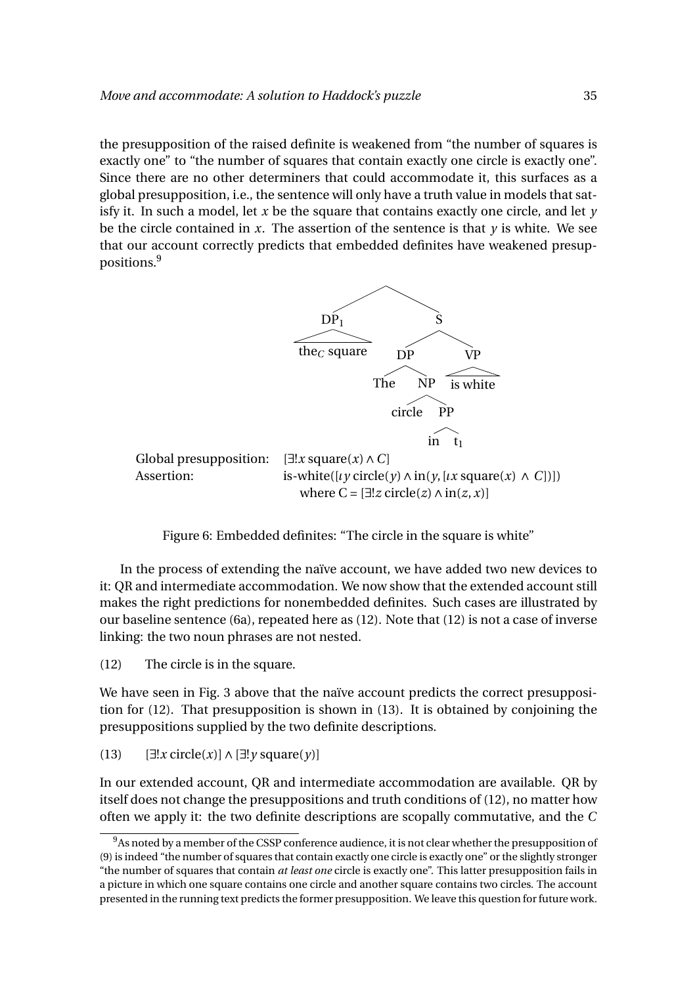the presupposition of the raised definite is weakened from "the number of squares is exactly one" to "the number of squares that contain exactly one circle is exactly one". Since there are no other determiners that could accommodate it, this surfaces as a global presupposition, i.e., the sentence will only have a truth value in models that satisfy it. In such a model, let *x* be the square that contains exactly one circle, and let *y* be the circle contained in  $x$ . The assertion of the sentence is that  $y$  is white. We see that our account correctly predicts that embedded definites have weakened presuppositions.<sup>9</sup>



Assertion: is-white( $[\iota \gamma \text{ circle}(\gamma) \land \text{in}(\gamma, [\iota x \text{ square}(x) \land C])]$ ) where  $C = [\exists ! z \space circle(z) \land \space in(z, x)]$ 

Figure 6: Embedded definites: "The circle in the square is white"

In the process of extending the naïve account, we have added two new devices to it: QR and intermediate accommodation. We now show that the extended account still makes the right predictions for nonembedded definites. Such cases are illustrated by our baseline sentence (6a), repeated here as (12). Note that (12) is not a case of inverse linking: the two noun phrases are not nested.

(12) The circle is in the square.

We have seen in Fig. 3 above that the naïve account predicts the correct presupposition for (12). That presupposition is shown in (13). It is obtained by conjoining the presuppositions supplied by the two definite descriptions.

(13) [∃!*x* circle(*x*)]∧[∃!*y* square(*y*)]

In our extended account, QR and intermediate accommodation are available. QR by itself does not change the presuppositions and truth conditions of (12), no matter how often we apply it: the two definite descriptions are scopally commutative, and the *C*

<sup>&</sup>lt;sup>9</sup>As noted by a member of the CSSP conference audience, it is not clear whether the presupposition of (9) is indeed "the number of squares that contain exactly one circle is exactly one" or the slightly stronger "the number of squares that contain *at least one* circle is exactly one". This latter presupposition fails in a picture in which one square contains one circle and another square contains two circles. The account presented in the running text predicts the former presupposition. We leave this question for future work.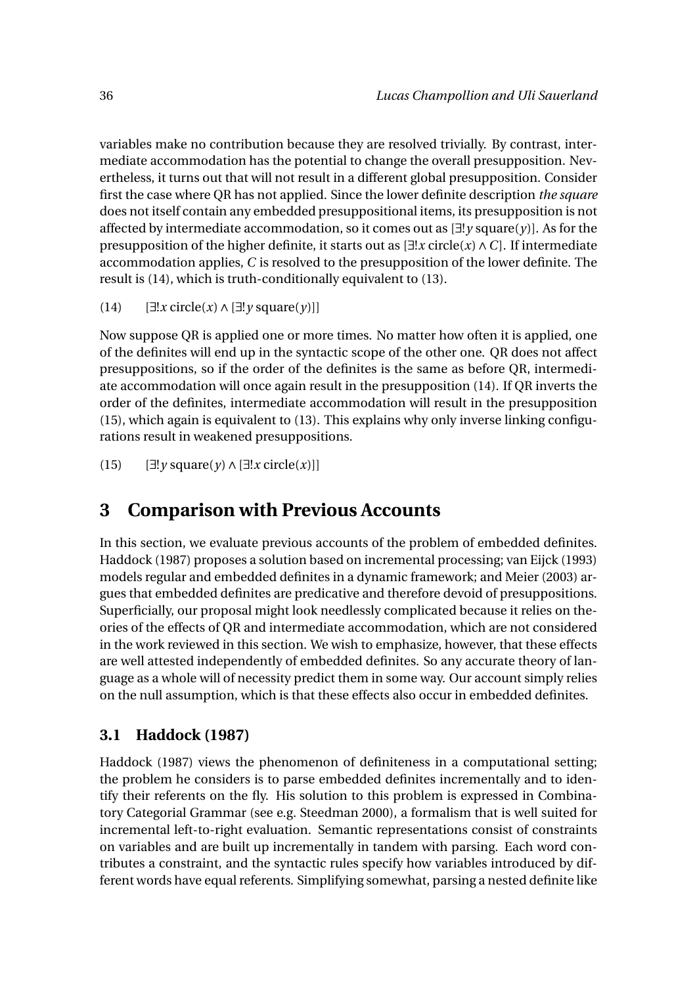variables make no contribution because they are resolved trivially. By contrast, intermediate accommodation has the potential to change the overall presupposition. Nevertheless, it turns out that will not result in a different global presupposition. Consider first the case where QR has not applied. Since the lower definite description *the square* does not itself contain any embedded presuppositional items, its presupposition is not affected by intermediate accommodation, so it comes out as [∃!*y* square(*y*)]. As for the presupposition of the higher definite, it starts out as [∃!*x* circle(*x*)∧*C*]. If intermediate accommodation applies, *C* is resolved to the presupposition of the lower definite. The result is (14), which is truth-conditionally equivalent to (13).

```
(14) [∃!x circle(x)∧[∃!y square(y)]]
```
Now suppose QR is applied one or more times. No matter how often it is applied, one of the definites will end up in the syntactic scope of the other one. QR does not affect presuppositions, so if the order of the definites is the same as before QR, intermediate accommodation will once again result in the presupposition (14). If QR inverts the order of the definites, intermediate accommodation will result in the presupposition (15), which again is equivalent to (13). This explains why only inverse linking configurations result in weakened presuppositions.

```
(15) [∃!y square(y)∧[∃!x circle(x)]]
```
# **3 Comparison with Previous Accounts**

In this section, we evaluate previous accounts of the problem of embedded definites. Haddock (1987) proposes a solution based on incremental processing; van Eijck (1993) models regular and embedded definites in a dynamic framework; and Meier (2003) argues that embedded definites are predicative and therefore devoid of presuppositions. Superficially, our proposal might look needlessly complicated because it relies on theories of the effects of QR and intermediate accommodation, which are not considered in the work reviewed in this section. We wish to emphasize, however, that these effects are well attested independently of embedded definites. So any accurate theory of language as a whole will of necessity predict them in some way. Our account simply relies on the null assumption, which is that these effects also occur in embedded definites.

## **3.1 Haddock (1987)**

Haddock (1987) views the phenomenon of definiteness in a computational setting; the problem he considers is to parse embedded definites incrementally and to identify their referents on the fly. His solution to this problem is expressed in Combinatory Categorial Grammar (see e.g. Steedman 2000), a formalism that is well suited for incremental left-to-right evaluation. Semantic representations consist of constraints on variables and are built up incrementally in tandem with parsing. Each word contributes a constraint, and the syntactic rules specify how variables introduced by different words have equal referents. Simplifying somewhat, parsing a nested definite like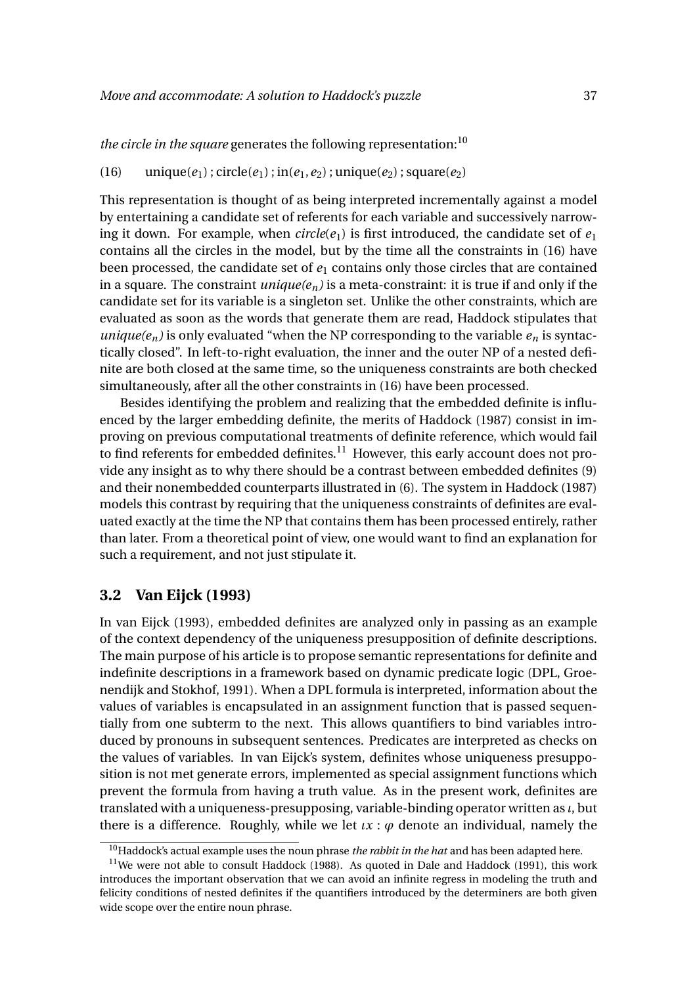*the circle in the square* generates the following representation:<sup>10</sup>

#### (16) unique( $e_1$ ); circle( $e_1$ ); in( $e_1$ ,  $e_2$ ); unique( $e_2$ ); square( $e_2$ )

This representation is thought of as being interpreted incrementally against a model by entertaining a candidate set of referents for each variable and successively narrowing it down. For example, when  $circle(e_1)$  is first introduced, the candidate set of  $e_1$ contains all the circles in the model, but by the time all the constraints in (16) have been processed, the candidate set of  $e_1$  contains only those circles that are contained in a square. The constraint *unique(en)* is a meta-constraint: it is true if and only if the candidate set for its variable is a singleton set. Unlike the other constraints, which are evaluated as soon as the words that generate them are read, Haddock stipulates that *unique*( $e_n$ ) is only evaluated "when the NP corresponding to the variable  $e_n$  is syntactically closed". In left-to-right evaluation, the inner and the outer NP of a nested definite are both closed at the same time, so the uniqueness constraints are both checked simultaneously, after all the other constraints in (16) have been processed.

Besides identifying the problem and realizing that the embedded definite is influenced by the larger embedding definite, the merits of Haddock (1987) consist in improving on previous computational treatments of definite reference, which would fail to find referents for embedded definites. $11$  However, this early account does not provide any insight as to why there should be a contrast between embedded definites (9) and their nonembedded counterparts illustrated in (6). The system in Haddock (1987) models this contrast by requiring that the uniqueness constraints of definites are evaluated exactly at the time the NP that contains them has been processed entirely, rather than later. From a theoretical point of view, one would want to find an explanation for such a requirement, and not just stipulate it.

#### **3.2 Van Eijck (1993)**

In van Eijck (1993), embedded definites are analyzed only in passing as an example of the context dependency of the uniqueness presupposition of definite descriptions. The main purpose of his article is to propose semantic representations for definite and indefinite descriptions in a framework based on dynamic predicate logic (DPL, Groenendijk and Stokhof, 1991). When a DPL formula is interpreted, information about the values of variables is encapsulated in an assignment function that is passed sequentially from one subterm to the next. This allows quantifiers to bind variables introduced by pronouns in subsequent sentences. Predicates are interpreted as checks on the values of variables. In van Eijck's system, definites whose uniqueness presupposition is not met generate errors, implemented as special assignment functions which prevent the formula from having a truth value. As in the present work, definites are translated with a uniqueness-presupposing, variable-binding operator written as *ι*, but there is a difference. Roughly, while we let  $\iota x : \varphi$  denote an individual, namely the

<sup>10</sup>Haddock's actual example uses the noun phrase *the rabbit in the hat* and has been adapted here.

 $11$ We were not able to consult Haddock (1988). As quoted in Dale and Haddock (1991), this work introduces the important observation that we can avoid an infinite regress in modeling the truth and felicity conditions of nested definites if the quantifiers introduced by the determiners are both given wide scope over the entire noun phrase.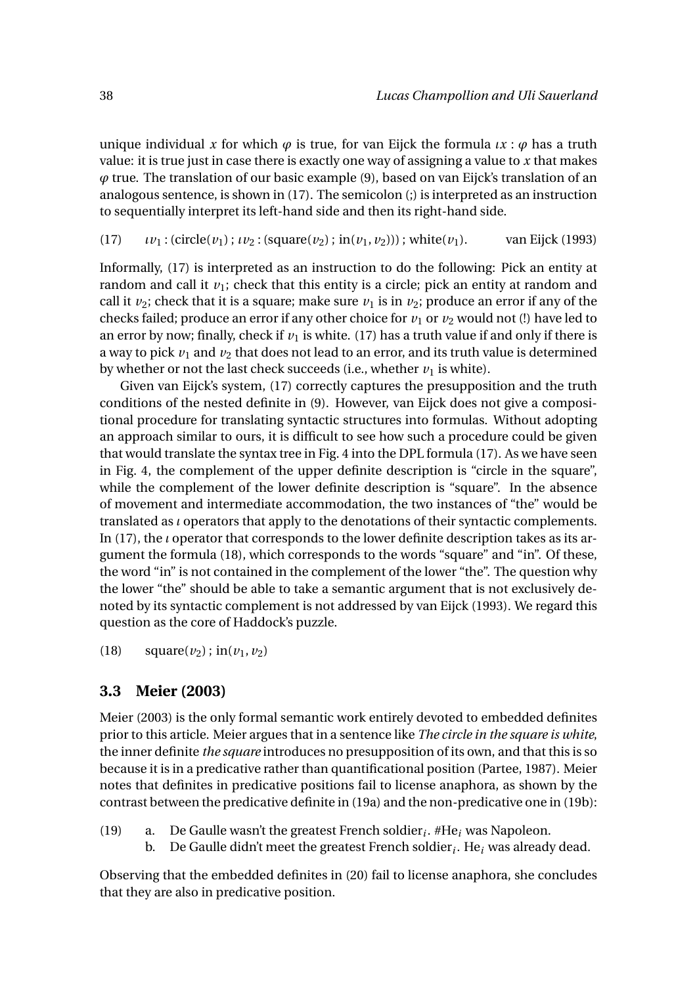unique individual x for which  $\varphi$  is true, for van Eijck the formula  $\iota x : \varphi$  has a truth value: it is true just in case there is exactly one way of assigning a value to *x* that makes *ϕ* true. The translation of our basic example (9), based on van Eijck's translation of an analogous sentence, is shown in (17). The semicolon (;) is interpreted as an instruction to sequentially interpret its left-hand side and then its right-hand side.

 $(17)$  *ιv*<sub>1</sub> : (circle(*v*<sub>1</sub>); *ιν*<sub>2</sub> : (square(*v*<sub>2</sub>); in(*v*<sub>1</sub>, *v*<sub>2</sub>))); white(*v*<sub>1</sub>). van Eijck (1993)

Informally, (17) is interpreted as an instruction to do the following: Pick an entity at random and call it  $v_1$ ; check that this entity is a circle; pick an entity at random and call it  $\nu_2$ ; check that it is a square; make sure  $\nu_1$  is in  $\nu_2$ ; produce an error if any of the checks failed; produce an error if any other choice for  $v_1$  or  $v_2$  would not (!) have led to an error by now; finally, check if  $v_1$  is white. (17) has a truth value if and only if there is a way to pick  $v_1$  and  $v_2$  that does not lead to an error, and its truth value is determined by whether or not the last check succeeds (i.e., whether  $v_1$  is white).

Given van Eijck's system, (17) correctly captures the presupposition and the truth conditions of the nested definite in (9). However, van Eijck does not give a compositional procedure for translating syntactic structures into formulas. Without adopting an approach similar to ours, it is difficult to see how such a procedure could be given that would translate the syntax tree in Fig. 4 into the DPL formula (17). As we have seen in Fig. 4, the complement of the upper definite description is "circle in the square", while the complement of the lower definite description is "square". In the absence of movement and intermediate accommodation, the two instances of "the" would be translated as *ι* operators that apply to the denotations of their syntactic complements. In (17), the *ι* operator that corresponds to the lower definite description takes as its argument the formula (18), which corresponds to the words "square" and "in". Of these, the word "in" is not contained in the complement of the lower "the". The question why the lower "the" should be able to take a semantic argument that is not exclusively denoted by its syntactic complement is not addressed by van Eijck (1993). We regard this question as the core of Haddock's puzzle.

(18) square( $v_2$ ); in( $v_1, v_2$ )

## **3.3 Meier (2003)**

Meier (2003) is the only formal semantic work entirely devoted to embedded definites prior to this article. Meier argues that in a sentence like *The circle in the square is white*, the inner definite *the square* introduces no presupposition of its own, and that this is so because it is in a predicative rather than quantificational position (Partee, 1987). Meier notes that definites in predicative positions fail to license anaphora, as shown by the contrast between the predicative definite in (19a) and the non-predicative one in (19b):

- (19) a. De Gaulle wasn't the greatest French soldier*<sup>i</sup>* . #He*<sup>i</sup>* was Napoleon.
	- b. De Gaulle didn't meet the greatest French soldier*<sup>i</sup>* . He*<sup>i</sup>* was already dead.

Observing that the embedded definites in (20) fail to license anaphora, she concludes that they are also in predicative position.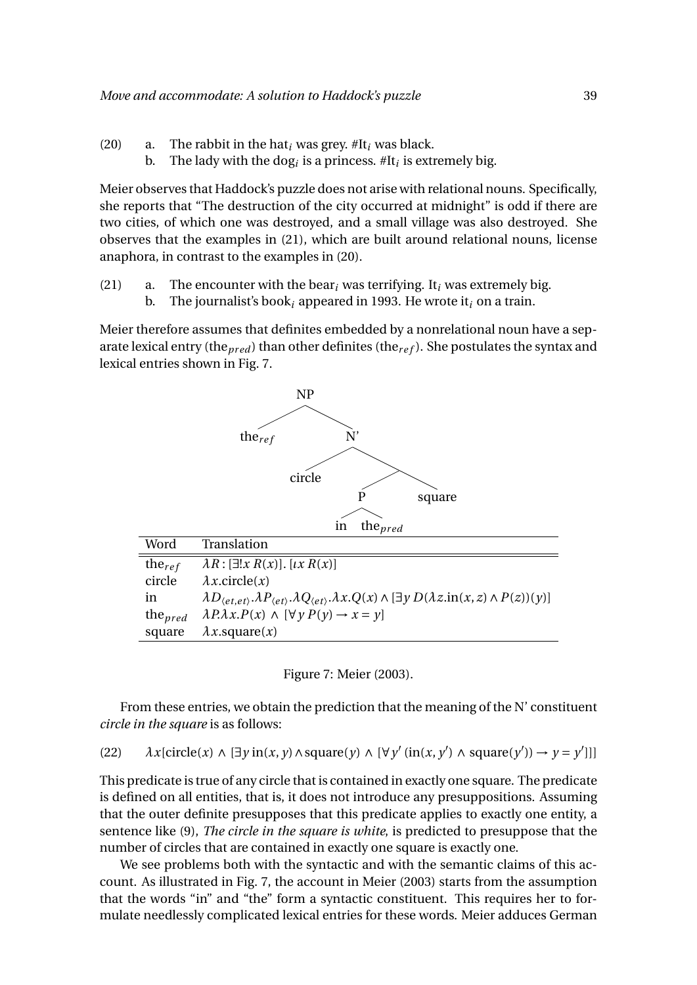- (20) a. The rabbit in the hat*<sup>i</sup>* was grey. #It*<sup>i</sup>* was black.
	- b. The lady with the dog*<sup>i</sup>* is a princess. #It*<sup>i</sup>* is extremely big.

Meier observes that Haddock's puzzle does not arise with relational nouns. Specifically, she reports that "The destruction of the city occurred at midnight" is odd if there are two cities, of which one was destroyed, and a small village was also destroyed. She observes that the examples in (21), which are built around relational nouns, license anaphora, in contrast to the examples in (20).

(21) a. The encounter with the bear<sub>*i*</sub> was terrifying. It<sub>*i*</sub> was extremely big. b. The journalist's book*<sup>i</sup>* appeared in 1993. He wrote it*<sup>i</sup>* on a train.

Meier therefore assumes that definites embedded by a nonrelational noun have a separate lexical entry (the<sub>pred</sub>) than other definites (the<sub>ref</sub>). She postulates the syntax and lexical entries shown in Fig. 7.



Figure 7: Meier (2003).

From these entries, we obtain the prediction that the meaning of the N' constituent *circle in the square* is as follows:

(22)  $\lambda x$ [circle(*x*)  $\wedge$  [ $\exists y$  in(*x*, *y*)  $\wedge$  square(*y*)  $\wedge$  [ $\forall y'$  (in(*x*, *y*<sup>'</sup>)  $\wedge$  square(*y*<sup>'</sup>))  $\rightarrow$  *y* = *y*<sup>'</sup>]]]

This predicate is true of any circle that is contained in exactly one square. The predicate is defined on all entities, that is, it does not introduce any presuppositions. Assuming that the outer definite presupposes that this predicate applies to exactly one entity, a sentence like (9), *The circle in the square is white*, is predicted to presuppose that the number of circles that are contained in exactly one square is exactly one.

We see problems both with the syntactic and with the semantic claims of this account. As illustrated in Fig. 7, the account in Meier (2003) starts from the assumption that the words "in" and "the" form a syntactic constituent. This requires her to formulate needlessly complicated lexical entries for these words. Meier adduces German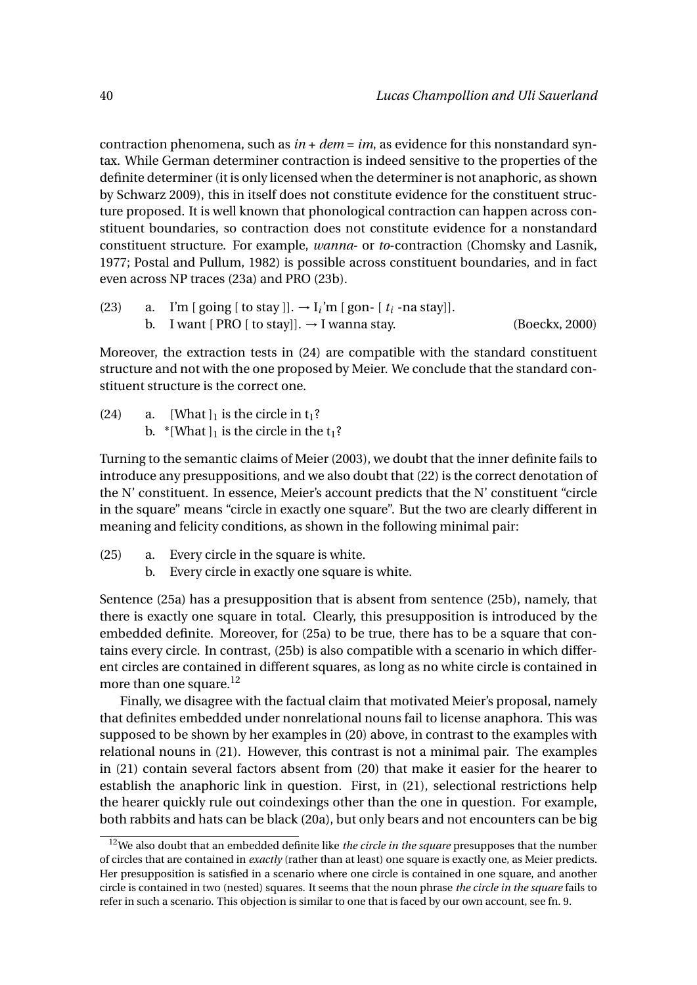contraction phenomena, such as *in* + *dem* = *im*, as evidence for this nonstandard syntax. While German determiner contraction is indeed sensitive to the properties of the definite determiner (it is only licensed when the determiner is not anaphoric, as shown by Schwarz 2009), this in itself does not constitute evidence for the constituent structure proposed. It is well known that phonological contraction can happen across constituent boundaries, so contraction does not constitute evidence for a nonstandard constituent structure. For example, *wanna*- or *to*-contraction (Chomsky and Lasnik, 1977; Postal and Pullum, 1982) is possible across constituent boundaries, and in fact even across NP traces (23a) and PRO (23b).

\n- (23) a. I'm [going [ to stay ]]. → I<sub>i</sub>'m [gon- [ 
$$
t_i
$$
 -na stay ]].
\n- b. I want [ PRO [ to stay]]. → I wanna stay.
\n
\n(Boeckx, 2000)

Moreover, the extraction tests in (24) are compatible with the standard constituent structure and not with the one proposed by Meier. We conclude that the standard constituent structure is the correct one.

(24) a. [What  $\vert_1$  is the circle in  $t_1$ ? b. \*[What  $\vert_1$  is the circle in the  $t_1$ ?

Turning to the semantic claims of Meier (2003), we doubt that the inner definite fails to introduce any presuppositions, and we also doubt that (22) is the correct denotation of the N' constituent. In essence, Meier's account predicts that the N' constituent "circle in the square" means "circle in exactly one square". But the two are clearly different in meaning and felicity conditions, as shown in the following minimal pair:

- (25) a. Every circle in the square is white.
	- b. Every circle in exactly one square is white.

Sentence (25a) has a presupposition that is absent from sentence (25b), namely, that there is exactly one square in total. Clearly, this presupposition is introduced by the embedded definite. Moreover, for (25a) to be true, there has to be a square that contains every circle. In contrast, (25b) is also compatible with a scenario in which different circles are contained in different squares, as long as no white circle is contained in more than one square.<sup>12</sup>

Finally, we disagree with the factual claim that motivated Meier's proposal, namely that definites embedded under nonrelational nouns fail to license anaphora. This was supposed to be shown by her examples in (20) above, in contrast to the examples with relational nouns in (21). However, this contrast is not a minimal pair. The examples in (21) contain several factors absent from (20) that make it easier for the hearer to establish the anaphoric link in question. First, in (21), selectional restrictions help the hearer quickly rule out coindexings other than the one in question. For example, both rabbits and hats can be black (20a), but only bears and not encounters can be big

<sup>12</sup>We also doubt that an embedded definite like *the circle in the square* presupposes that the number of circles that are contained in *exactly* (rather than at least) one square is exactly one, as Meier predicts. Her presupposition is satisfied in a scenario where one circle is contained in one square, and another circle is contained in two (nested) squares. It seems that the noun phrase *the circle in the square* fails to refer in such a scenario. This objection is similar to one that is faced by our own account, see fn. 9.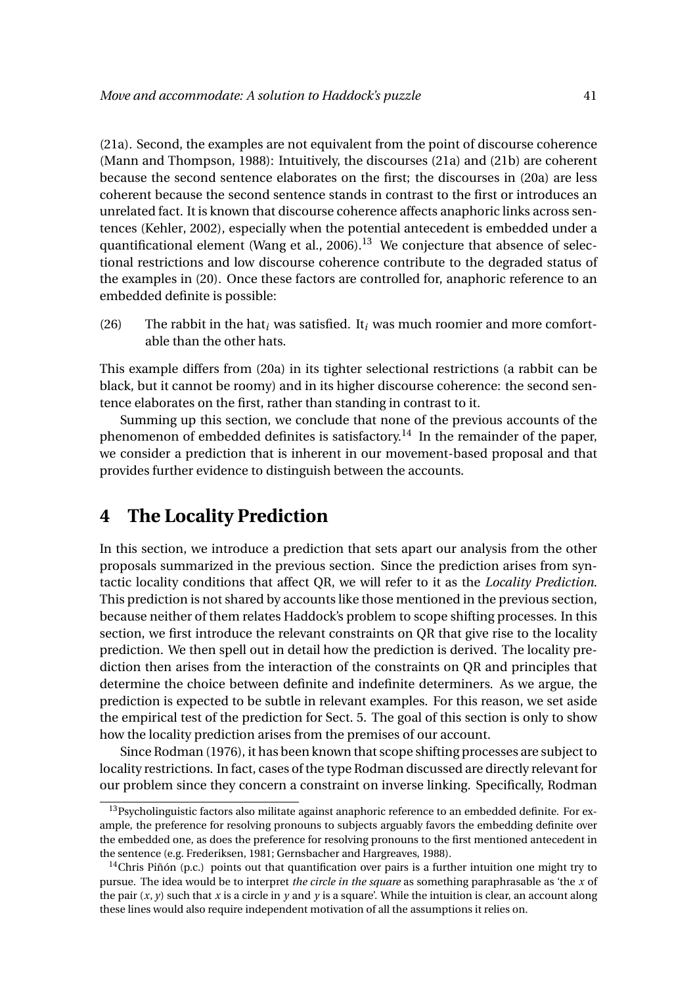(21a). Second, the examples are not equivalent from the point of discourse coherence (Mann and Thompson, 1988): Intuitively, the discourses (21a) and (21b) are coherent because the second sentence elaborates on the first; the discourses in (20a) are less coherent because the second sentence stands in contrast to the first or introduces an unrelated fact. It is known that discourse coherence affects anaphoric links across sentences (Kehler, 2002), especially when the potential antecedent is embedded under a quantificational element (Wang et al.,  $2006$ ).<sup>13</sup> We conjecture that absence of selectional restrictions and low discourse coherence contribute to the degraded status of the examples in (20). Once these factors are controlled for, anaphoric reference to an embedded definite is possible:

(26) The rabbit in the hat*<sup>i</sup>* was satisfied. It*<sup>i</sup>* was much roomier and more comfortable than the other hats.

This example differs from (20a) in its tighter selectional restrictions (a rabbit can be black, but it cannot be roomy) and in its higher discourse coherence: the second sentence elaborates on the first, rather than standing in contrast to it.

Summing up this section, we conclude that none of the previous accounts of the phenomenon of embedded definites is satisfactory.<sup>14</sup> In the remainder of the paper, we consider a prediction that is inherent in our movement-based proposal and that provides further evidence to distinguish between the accounts.

# **4 The Locality Prediction**

In this section, we introduce a prediction that sets apart our analysis from the other proposals summarized in the previous section. Since the prediction arises from syntactic locality conditions that affect QR, we will refer to it as the *Locality Prediction*. This prediction is not shared by accounts like those mentioned in the previous section, because neither of them relates Haddock's problem to scope shifting processes. In this section, we first introduce the relevant constraints on QR that give rise to the locality prediction. We then spell out in detail how the prediction is derived. The locality prediction then arises from the interaction of the constraints on QR and principles that determine the choice between definite and indefinite determiners. As we argue, the prediction is expected to be subtle in relevant examples. For this reason, we set aside the empirical test of the prediction for Sect. 5. The goal of this section is only to show how the locality prediction arises from the premises of our account.

Since Rodman (1976), it has been known that scope shifting processes are subject to locality restrictions. In fact, cases of the type Rodman discussed are directly relevant for our problem since they concern a constraint on inverse linking. Specifically, Rodman

<sup>&</sup>lt;sup>13</sup>Psycholinguistic factors also militate against anaphoric reference to an embedded definite. For example, the preference for resolving pronouns to subjects arguably favors the embedding definite over the embedded one, as does the preference for resolving pronouns to the first mentioned antecedent in the sentence (e.g. Frederiksen, 1981; Gernsbacher and Hargreaves, 1988).

<sup>&</sup>lt;sup>14</sup>Chris Piñón (p.c.) points out that quantification over pairs is a further intuition one might try to pursue. The idea would be to interpret *the circle in the square* as something paraphrasable as 'the *x* of the pair  $(x, y)$  such that *x* is a circle in *y* and *y* is a square'. While the intuition is clear, an account along these lines would also require independent motivation of all the assumptions it relies on.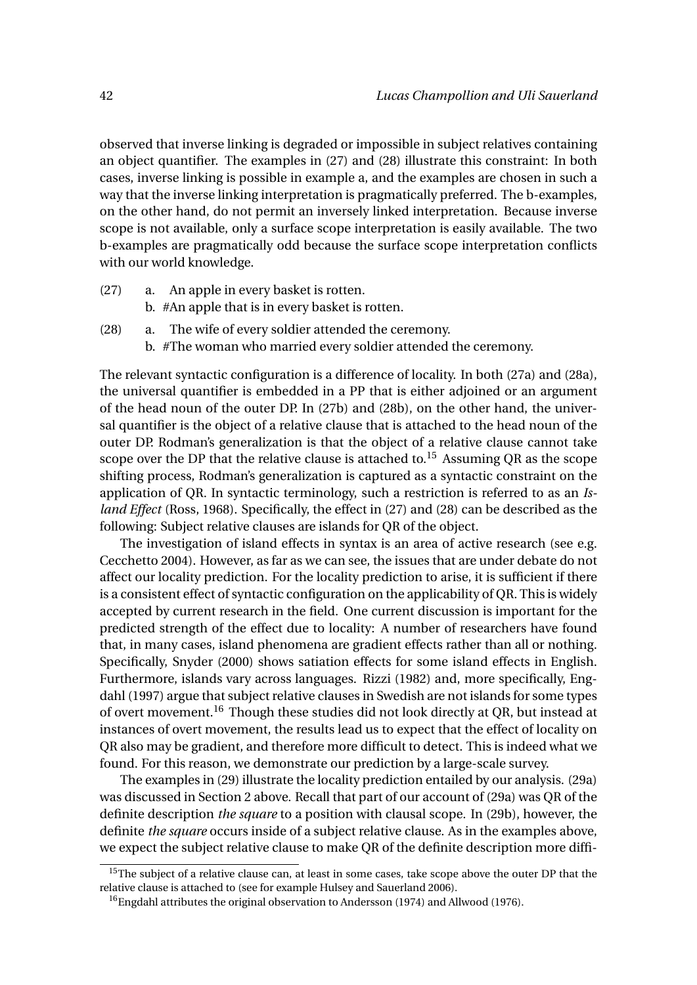observed that inverse linking is degraded or impossible in subject relatives containing an object quantifier. The examples in (27) and (28) illustrate this constraint: In both cases, inverse linking is possible in example a, and the examples are chosen in such a way that the inverse linking interpretation is pragmatically preferred. The b-examples, on the other hand, do not permit an inversely linked interpretation. Because inverse scope is not available, only a surface scope interpretation is easily available. The two b-examples are pragmatically odd because the surface scope interpretation conflicts with our world knowledge.

- (27) a. An apple in every basket is rotten. b. #An apple that is in every basket is rotten.
- (28) a. The wife of every soldier attended the ceremony. b. #The woman who married every soldier attended the ceremony.

The relevant syntactic configuration is a difference of locality. In both (27a) and (28a), the universal quantifier is embedded in a PP that is either adjoined or an argument of the head noun of the outer DP. In (27b) and (28b), on the other hand, the universal quantifier is the object of a relative clause that is attached to the head noun of the outer DP. Rodman's generalization is that the object of a relative clause cannot take scope over the DP that the relative clause is attached to.<sup>15</sup> Assuming QR as the scope shifting process, Rodman's generalization is captured as a syntactic constraint on the application of QR. In syntactic terminology, such a restriction is referred to as an *Island Effect* (Ross, 1968). Specifically, the effect in (27) and (28) can be described as the following: Subject relative clauses are islands for QR of the object.

The investigation of island effects in syntax is an area of active research (see e.g. Cecchetto 2004). However, as far as we can see, the issues that are under debate do not affect our locality prediction. For the locality prediction to arise, it is sufficient if there is a consistent effect of syntactic configuration on the applicability of QR. This is widely accepted by current research in the field. One current discussion is important for the predicted strength of the effect due to locality: A number of researchers have found that, in many cases, island phenomena are gradient effects rather than all or nothing. Specifically, Snyder (2000) shows satiation effects for some island effects in English. Furthermore, islands vary across languages. Rizzi (1982) and, more specifically, Engdahl (1997) argue that subject relative clauses in Swedish are not islands for some types of overt movement.<sup>16</sup> Though these studies did not look directly at QR, but instead at instances of overt movement, the results lead us to expect that the effect of locality on QR also may be gradient, and therefore more difficult to detect. This is indeed what we found. For this reason, we demonstrate our prediction by a large-scale survey.

The examples in (29) illustrate the locality prediction entailed by our analysis. (29a) was discussed in Section 2 above. Recall that part of our account of (29a) was QR of the definite description *the square* to a position with clausal scope. In (29b), however, the definite *the square* occurs inside of a subject relative clause. As in the examples above, we expect the subject relative clause to make QR of the definite description more diffi-

<sup>&</sup>lt;sup>15</sup>The subject of a relative clause can, at least in some cases, take scope above the outer DP that the relative clause is attached to (see for example Hulsey and Sauerland 2006).

<sup>16</sup>Engdahl attributes the original observation to Andersson (1974) and Allwood (1976).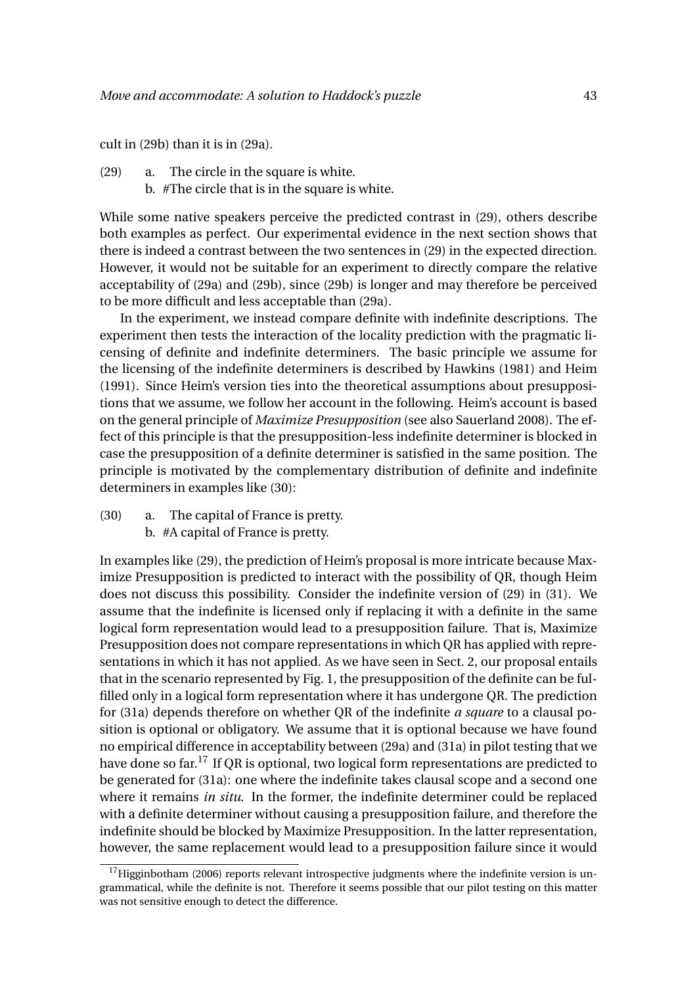cult in (29b) than it is in (29a).

- (29) a. The circle in the square is white.
	- b. #The circle that is in the square is white.

While some native speakers perceive the predicted contrast in (29), others describe both examples as perfect. Our experimental evidence in the next section shows that there is indeed a contrast between the two sentences in (29) in the expected direction. However, it would not be suitable for an experiment to directly compare the relative acceptability of (29a) and (29b), since (29b) is longer and may therefore be perceived to be more difficult and less acceptable than (29a).

In the experiment, we instead compare definite with indefinite descriptions. The experiment then tests the interaction of the locality prediction with the pragmatic licensing of definite and indefinite determiners. The basic principle we assume for the licensing of the indefinite determiners is described by Hawkins (1981) and Heim (1991). Since Heim's version ties into the theoretical assumptions about presuppositions that we assume, we follow her account in the following. Heim's account is based on the general principle of *Maximize Presupposition* (see also Sauerland 2008). The effect of this principle is that the presupposition-less indefinite determiner is blocked in case the presupposition of a definite determiner is satisfied in the same position. The principle is motivated by the complementary distribution of definite and indefinite determiners in examples like (30):

- (30) a. The capital of France is pretty.
	- b. #A capital of France is pretty.

In examples like (29), the prediction of Heim's proposal is more intricate because Maximize Presupposition is predicted to interact with the possibility of QR, though Heim does not discuss this possibility. Consider the indefinite version of (29) in (31). We assume that the indefinite is licensed only if replacing it with a definite in the same logical form representation would lead to a presupposition failure. That is, Maximize Presupposition does not compare representations in which QR has applied with representations in which it has not applied. As we have seen in Sect. 2, our proposal entails that in the scenario represented by Fig. 1, the presupposition of the definite can be fulfilled only in a logical form representation where it has undergone QR. The prediction for (31a) depends therefore on whether QR of the indefinite *a square* to a clausal position is optional or obligatory. We assume that it is optional because we have found no empirical difference in acceptability between (29a) and (31a) in pilot testing that we have done so far.<sup>17</sup> If QR is optional, two logical form representations are predicted to be generated for (31a): one where the indefinite takes clausal scope and a second one where it remains *in situ*. In the former, the indefinite determiner could be replaced with a definite determiner without causing a presupposition failure, and therefore the indefinite should be blocked by Maximize Presupposition. In the latter representation, however, the same replacement would lead to a presupposition failure since it would

 $17$ Higginbotham (2006) reports relevant introspective judgments where the indefinite version is ungrammatical, while the definite is not. Therefore it seems possible that our pilot testing on this matter was not sensitive enough to detect the difference.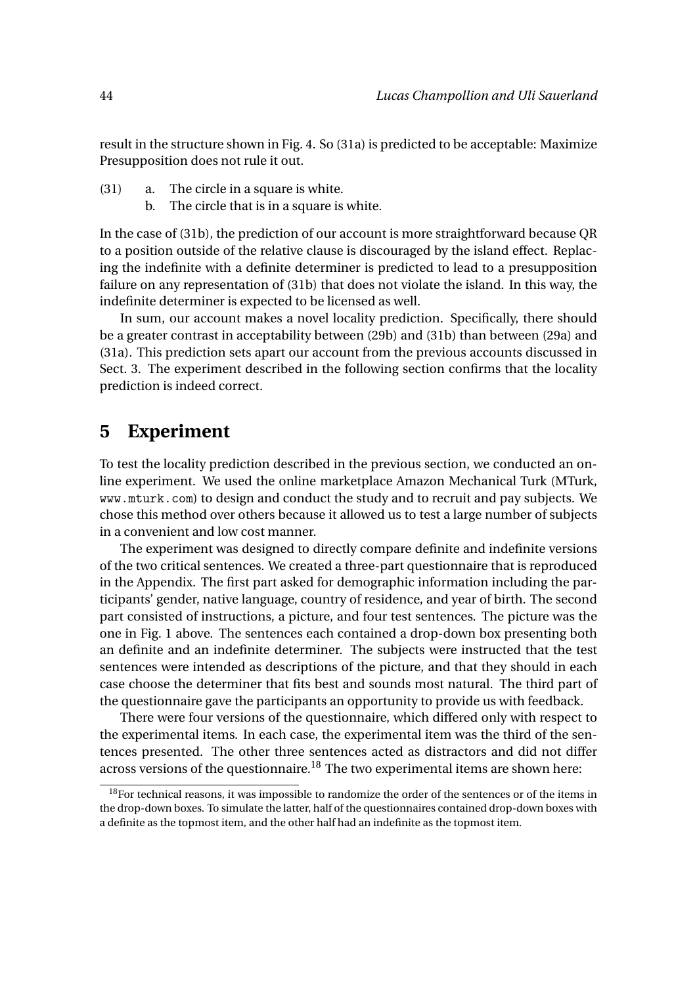result in the structure shown in Fig. 4. So (31a) is predicted to be acceptable: Maximize Presupposition does not rule it out.

- (31) a. The circle in a square is white.
	- b. The circle that is in a square is white.

In the case of (31b), the prediction of our account is more straightforward because QR to a position outside of the relative clause is discouraged by the island effect. Replacing the indefinite with a definite determiner is predicted to lead to a presupposition failure on any representation of (31b) that does not violate the island. In this way, the indefinite determiner is expected to be licensed as well.

In sum, our account makes a novel locality prediction. Specifically, there should be a greater contrast in acceptability between (29b) and (31b) than between (29a) and (31a). This prediction sets apart our account from the previous accounts discussed in Sect. 3. The experiment described in the following section confirms that the locality prediction is indeed correct.

# **5 Experiment**

To test the locality prediction described in the previous section, we conducted an online experiment. We used the online marketplace Amazon Mechanical Turk (MTurk, www.mturk.com) to design and conduct the study and to recruit and pay subjects. We chose this method over others because it allowed us to test a large number of subjects in a convenient and low cost manner.

The experiment was designed to directly compare definite and indefinite versions of the two critical sentences. We created a three-part questionnaire that is reproduced in the Appendix. The first part asked for demographic information including the participants' gender, native language, country of residence, and year of birth. The second part consisted of instructions, a picture, and four test sentences. The picture was the one in Fig. 1 above. The sentences each contained a drop-down box presenting both an definite and an indefinite determiner. The subjects were instructed that the test sentences were intended as descriptions of the picture, and that they should in each case choose the determiner that fits best and sounds most natural. The third part of the questionnaire gave the participants an opportunity to provide us with feedback.

There were four versions of the questionnaire, which differed only with respect to the experimental items. In each case, the experimental item was the third of the sentences presented. The other three sentences acted as distractors and did not differ across versions of the questionnaire.<sup>18</sup> The two experimental items are shown here:

 $18$ For technical reasons, it was impossible to randomize the order of the sentences or of the items in the drop-down boxes. To simulate the latter, half of the questionnaires contained drop-down boxes with a definite as the topmost item, and the other half had an indefinite as the topmost item.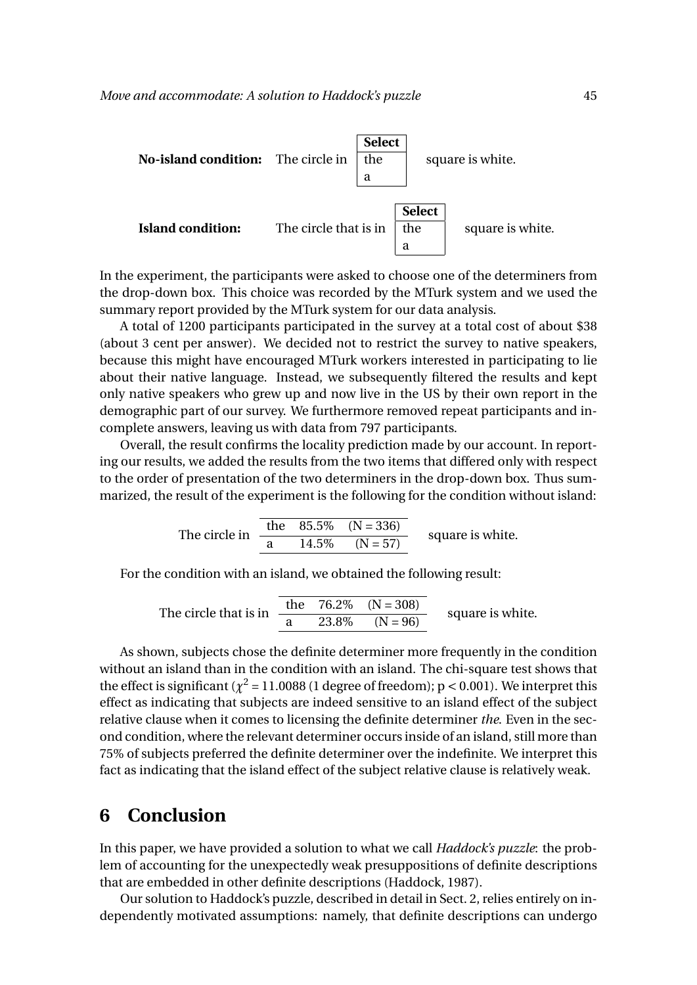

In the experiment, the participants were asked to choose one of the determiners from the drop-down box. This choice was recorded by the MTurk system and we used the summary report provided by the MTurk system for our data analysis.

A total of 1200 participants participated in the survey at a total cost of about \$38 (about 3 cent per answer). We decided not to restrict the survey to native speakers, because this might have encouraged MTurk workers interested in participating to lie about their native language. Instead, we subsequently filtered the results and kept only native speakers who grew up and now live in the US by their own report in the demographic part of our survey. We furthermore removed repeat participants and incomplete answers, leaving us with data from 797 participants.

Overall, the result confirms the locality prediction made by our account. In reporting our results, we added the results from the two items that differed only with respect to the order of presentation of the two determiners in the drop-down box. Thus summarized, the result of the experiment is the following for the condition without island:

The circle in 
$$
\frac{\text{the } 85.5\% \quad (N=336)}{\text{a } 14.5\% \quad (N=57)}
$$
 square is white.

For the condition with an island, we obtained the following result:

The circle that is in  $\frac{\text{the}}{\text{a}} = \frac{76.2\%}{23.8\%} = \frac{(N = 308)}{(N = 96)}$ square is white.

As shown, subjects chose the definite determiner more frequently in the condition without an island than in the condition with an island. The chi-square test shows that the effect is significant ( $\chi^2$  = 11.0088 (1 degree of freedom); p < 0.001). We interpret this effect as indicating that subjects are indeed sensitive to an island effect of the subject relative clause when it comes to licensing the definite determiner *the*. Even in the second condition, where the relevant determiner occurs inside of an island, still more than 75% of subjects preferred the definite determiner over the indefinite. We interpret this fact as indicating that the island effect of the subject relative clause is relatively weak.

# **6 Conclusion**

In this paper, we have provided a solution to what we call *Haddock's puzzle*: the problem of accounting for the unexpectedly weak presuppositions of definite descriptions that are embedded in other definite descriptions (Haddock, 1987).

Our solution to Haddock's puzzle, described in detail in Sect. 2, relies entirely on independently motivated assumptions: namely, that definite descriptions can undergo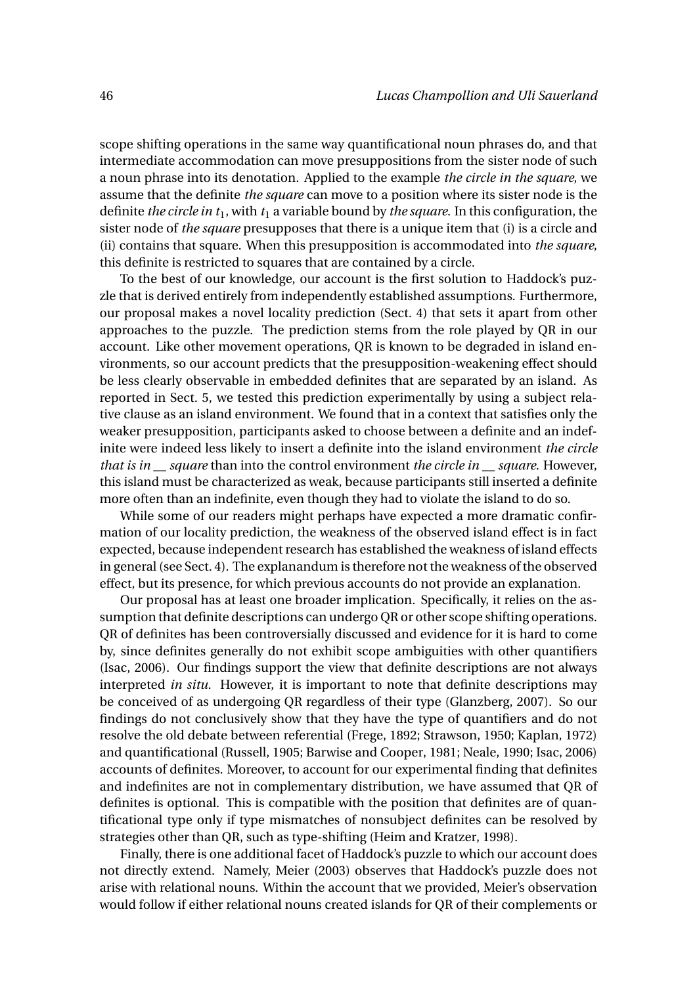scope shifting operations in the same way quantificational noun phrases do, and that intermediate accommodation can move presuppositions from the sister node of such a noun phrase into its denotation. Applied to the example *the circle in the square*, we assume that the definite *the square* can move to a position where its sister node is the definite *the circle in t*1, with *t*<sup>1</sup> a variable bound by *the square*. In this configuration, the sister node of *the square* presupposes that there is a unique item that (i) is a circle and (ii) contains that square. When this presupposition is accommodated into *the square*, this definite is restricted to squares that are contained by a circle.

To the best of our knowledge, our account is the first solution to Haddock's puzzle that is derived entirely from independently established assumptions. Furthermore, our proposal makes a novel locality prediction (Sect. 4) that sets it apart from other approaches to the puzzle. The prediction stems from the role played by QR in our account. Like other movement operations, QR is known to be degraded in island environments, so our account predicts that the presupposition-weakening effect should be less clearly observable in embedded definites that are separated by an island. As reported in Sect. 5, we tested this prediction experimentally by using a subject relative clause as an island environment. We found that in a context that satisfies only the weaker presupposition, participants asked to choose between a definite and an indefinite were indeed less likely to insert a definite into the island environment *the circle that is in \_\_ square* than into the control environment *the circle in \_\_ square*. However, this island must be characterized as weak, because participants still inserted a definite more often than an indefinite, even though they had to violate the island to do so.

While some of our readers might perhaps have expected a more dramatic confirmation of our locality prediction, the weakness of the observed island effect is in fact expected, because independent research has established the weakness of island effects in general (see Sect. 4). The explanandum is therefore not the weakness of the observed effect, but its presence, for which previous accounts do not provide an explanation.

Our proposal has at least one broader implication. Specifically, it relies on the assumption that definite descriptions can undergo QR or other scope shifting operations. QR of definites has been controversially discussed and evidence for it is hard to come by, since definites generally do not exhibit scope ambiguities with other quantifiers (Isac, 2006). Our findings support the view that definite descriptions are not always interpreted *in situ*. However, it is important to note that definite descriptions may be conceived of as undergoing QR regardless of their type (Glanzberg, 2007). So our findings do not conclusively show that they have the type of quantifiers and do not resolve the old debate between referential (Frege, 1892; Strawson, 1950; Kaplan, 1972) and quantificational (Russell, 1905; Barwise and Cooper, 1981; Neale, 1990; Isac, 2006) accounts of definites. Moreover, to account for our experimental finding that definites and indefinites are not in complementary distribution, we have assumed that QR of definites is optional. This is compatible with the position that definites are of quantificational type only if type mismatches of nonsubject definites can be resolved by strategies other than QR, such as type-shifting (Heim and Kratzer, 1998).

Finally, there is one additional facet of Haddock's puzzle to which our account does not directly extend. Namely, Meier (2003) observes that Haddock's puzzle does not arise with relational nouns. Within the account that we provided, Meier's observation would follow if either relational nouns created islands for QR of their complements or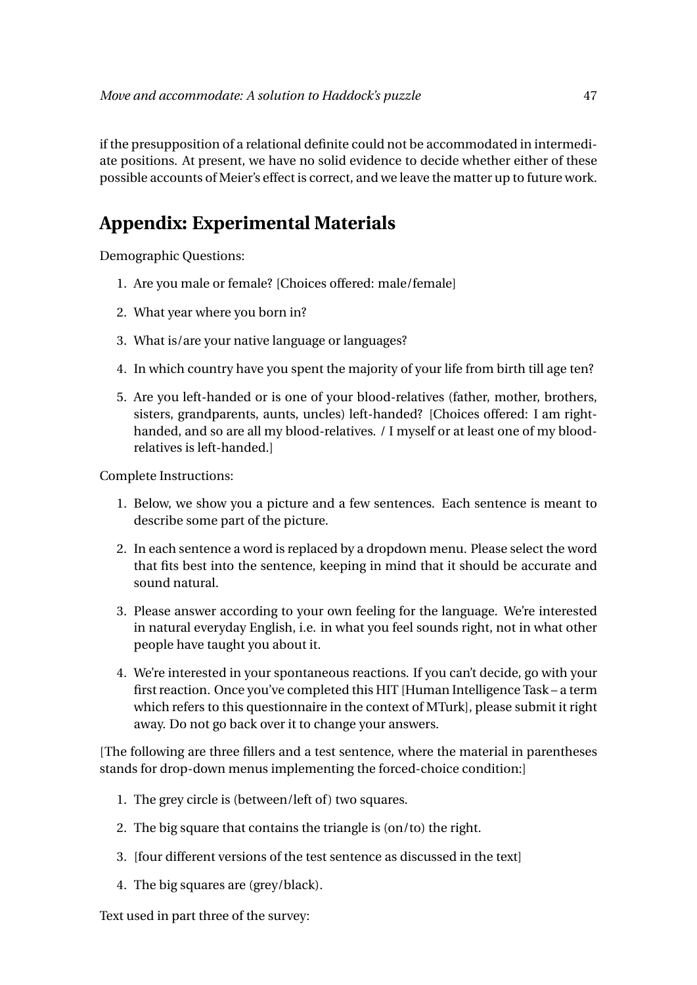if the presupposition of a relational definite could not be accommodated in intermediate positions. At present, we have no solid evidence to decide whether either of these possible accounts of Meier's effect is correct, and we leave the matter up to future work.

# **Appendix: Experimental Materials**

Demographic Questions:

- 1. Are you male or female? [Choices offered: male/female]
- 2. What year where you born in?
- 3. What is/are your native language or languages?
- 4. In which country have you spent the majority of your life from birth till age ten?
- 5. Are you left-handed or is one of your blood-relatives (father, mother, brothers, sisters, grandparents, aunts, uncles) left-handed? [Choices offered: I am righthanded, and so are all my blood-relatives. / I myself or at least one of my bloodrelatives is left-handed.]

Complete Instructions:

- 1. Below, we show you a picture and a few sentences. Each sentence is meant to describe some part of the picture.
- 2. In each sentence a word is replaced by a dropdown menu. Please select the word that fits best into the sentence, keeping in mind that it should be accurate and sound natural.
- 3. Please answer according to your own feeling for the language. We're interested in natural everyday English, i.e. in what you feel sounds right, not in what other people have taught you about it.
- 4. We're interested in your spontaneous reactions. If you can't decide, go with your first reaction. Once you've completed this HIT [Human Intelligence Task – a term which refers to this questionnaire in the context of MTurk], please submit it right away. Do not go back over it to change your answers.

[The following are three fillers and a test sentence, where the material in parentheses stands for drop-down menus implementing the forced-choice condition:]

- 1. The grey circle is (between/left of) two squares.
- 2. The big square that contains the triangle is (on/to) the right.
- 3. [four different versions of the test sentence as discussed in the text]
- 4. The big squares are (grey/black).

Text used in part three of the survey: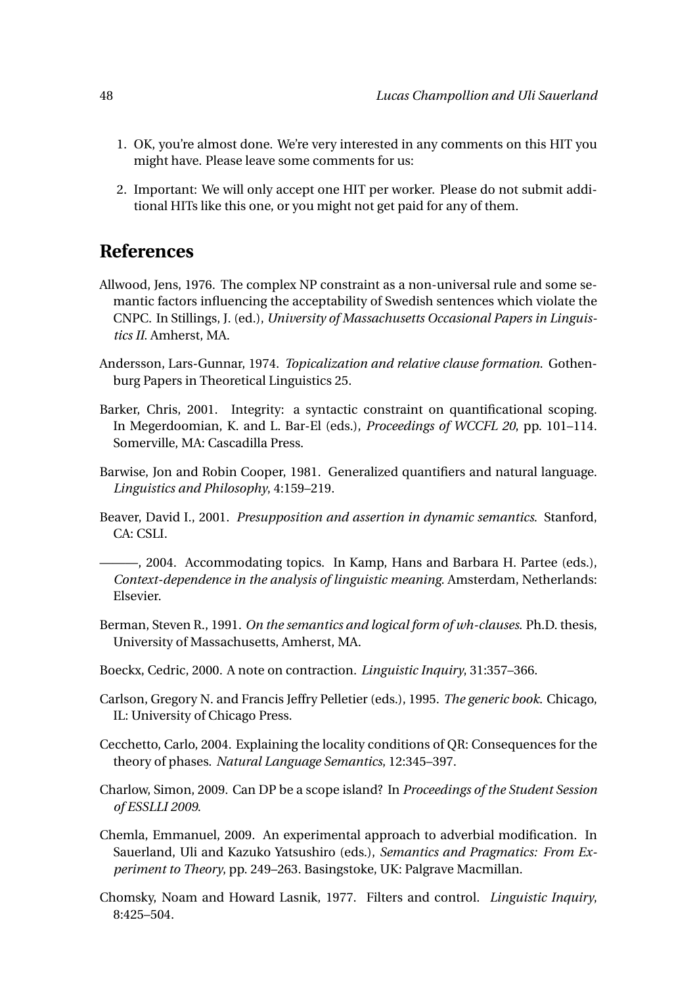- 1. OK, you're almost done. We're very interested in any comments on this HIT you might have. Please leave some comments for us:
- 2. Important: We will only accept one HIT per worker. Please do not submit additional HITs like this one, or you might not get paid for any of them.

# **References**

- Allwood, Jens, 1976. The complex NP constraint as a non-universal rule and some semantic factors influencing the acceptability of Swedish sentences which violate the CNPC. In Stillings, J. (ed.), *University of Massachusetts Occasional Papers in Linguistics II*. Amherst, MA.
- Andersson, Lars-Gunnar, 1974. *Topicalization and relative clause formation*. Gothenburg Papers in Theoretical Linguistics 25.
- Barker, Chris, 2001. Integrity: a syntactic constraint on quantificational scoping. In Megerdoomian, K. and L. Bar-El (eds.), *Proceedings of WCCFL 20*, pp. 101–114. Somerville, MA: Cascadilla Press.
- Barwise, Jon and Robin Cooper, 1981. Generalized quantifiers and natural language. *Linguistics and Philosophy*, 4:159–219.
- Beaver, David I., 2001. *Presupposition and assertion in dynamic semantics*. Stanford, CA: CSLI.

———, 2004. Accommodating topics. In Kamp, Hans and Barbara H. Partee (eds.), *Context-dependence in the analysis of linguistic meaning*. Amsterdam, Netherlands: Elsevier.

- Berman, Steven R., 1991. *On the semantics and logical form of wh-clauses*. Ph.D. thesis, University of Massachusetts, Amherst, MA.
- Boeckx, Cedric, 2000. A note on contraction. *Linguistic Inquiry*, 31:357–366.
- Carlson, Gregory N. and Francis Jeffry Pelletier (eds.), 1995. *The generic book*. Chicago, IL: University of Chicago Press.

Cecchetto, Carlo, 2004. Explaining the locality conditions of QR: Consequences for the theory of phases. *Natural Language Semantics*, 12:345–397.

- Charlow, Simon, 2009. Can DP be a scope island? In *Proceedings of the Student Session of ESSLLI 2009*.
- Chemla, Emmanuel, 2009. An experimental approach to adverbial modification. In Sauerland, Uli and Kazuko Yatsushiro (eds.), *Semantics and Pragmatics: From Experiment to Theory*, pp. 249–263. Basingstoke, UK: Palgrave Macmillan.
- Chomsky, Noam and Howard Lasnik, 1977. Filters and control. *Linguistic Inquiry*, 8:425–504.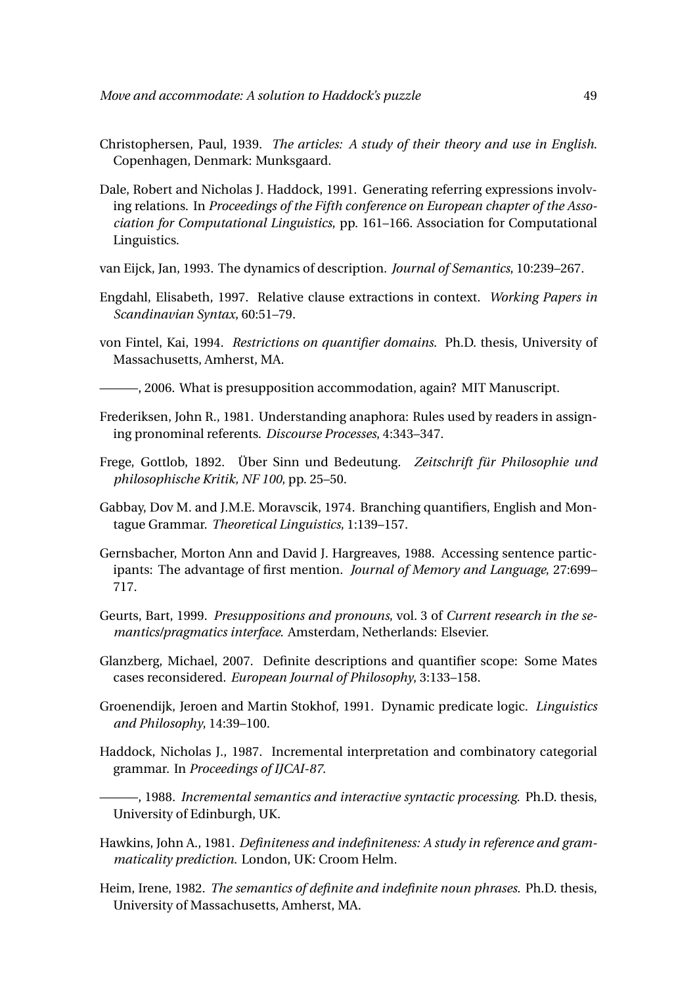- Christophersen, Paul, 1939. *The articles: A study of their theory and use in English*. Copenhagen, Denmark: Munksgaard.
- Dale, Robert and Nicholas J. Haddock, 1991. Generating referring expressions involving relations. In *Proceedings of the Fifth conference on European chapter of the Association for Computational Linguistics*, pp. 161–166. Association for Computational Linguistics.
- van Eijck, Jan, 1993. The dynamics of description. *Journal of Semantics*, 10:239–267.
- Engdahl, Elisabeth, 1997. Relative clause extractions in context. *Working Papers in Scandinavian Syntax*, 60:51–79.
- von Fintel, Kai, 1994. *Restrictions on quantifier domains*. Ph.D. thesis, University of Massachusetts, Amherst, MA.
- ———, 2006. What is presupposition accommodation, again? MIT Manuscript.
- Frederiksen, John R., 1981. Understanding anaphora: Rules used by readers in assigning pronominal referents. *Discourse Processes*, 4:343–347.
- Frege, Gottlob, 1892. Über Sinn und Bedeutung. *Zeitschrift für Philosophie und philosophische Kritik, NF 100*, pp. 25–50.
- Gabbay, Dov M. and J.M.E. Moravscik, 1974. Branching quantifiers, English and Montague Grammar. *Theoretical Linguistics*, 1:139–157.
- Gernsbacher, Morton Ann and David J. Hargreaves, 1988. Accessing sentence participants: The advantage of first mention. *Journal of Memory and Language*, 27:699– 717.
- Geurts, Bart, 1999. *Presuppositions and pronouns*, vol. 3 of *Current research in the semantics/pragmatics interface*. Amsterdam, Netherlands: Elsevier.
- Glanzberg, Michael, 2007. Definite descriptions and quantifier scope: Some Mates cases reconsidered. *European Journal of Philosophy*, 3:133–158.
- Groenendijk, Jeroen and Martin Stokhof, 1991. Dynamic predicate logic. *Linguistics and Philosophy*, 14:39–100.
- Haddock, Nicholas J., 1987. Incremental interpretation and combinatory categorial grammar. In *Proceedings of IJCAI-87*.
	- ———, 1988. *Incremental semantics and interactive syntactic processing*. Ph.D. thesis, University of Edinburgh, UK.
- Hawkins, John A., 1981. *Definiteness and indefiniteness: A study in reference and grammaticality prediction*. London, UK: Croom Helm.
- Heim, Irene, 1982. *The semantics of definite and indefinite noun phrases*. Ph.D. thesis, University of Massachusetts, Amherst, MA.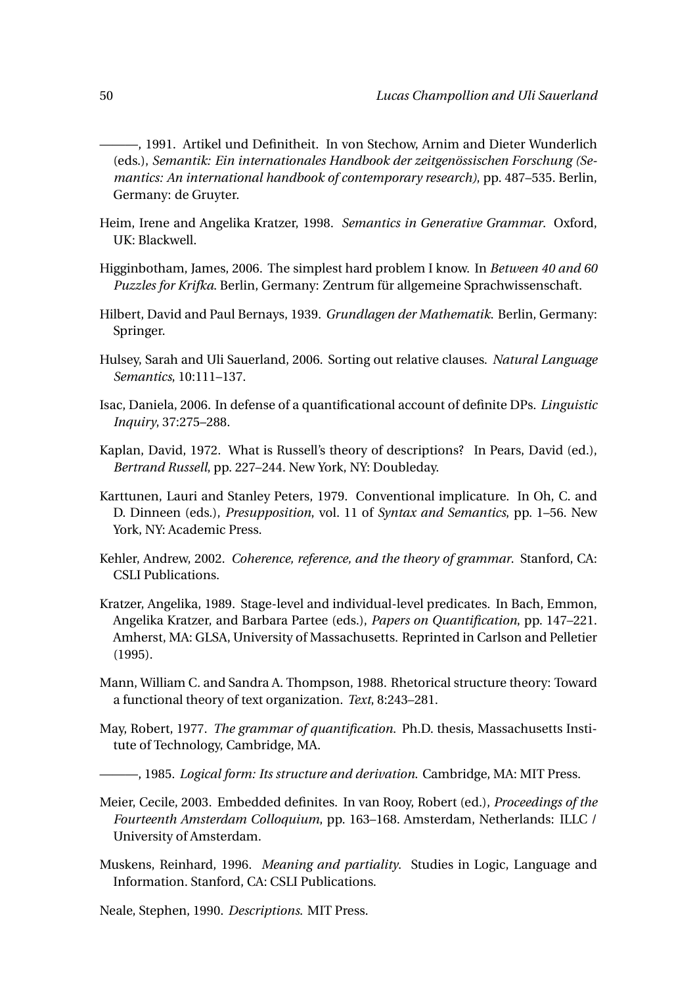- ———, 1991. Artikel und Definitheit. In von Stechow, Arnim and Dieter Wunderlich (eds.), *Semantik: Ein internationales Handbook der zeitgenössischen Forschung (Semantics: An international handbook of contemporary research)*, pp. 487–535. Berlin, Germany: de Gruyter.
- Heim, Irene and Angelika Kratzer, 1998. *Semantics in Generative Grammar*. Oxford, UK: Blackwell.
- Higginbotham, James, 2006. The simplest hard problem I know. In *Between 40 and 60 Puzzles for Krifka*. Berlin, Germany: Zentrum für allgemeine Sprachwissenschaft.
- Hilbert, David and Paul Bernays, 1939. *Grundlagen der Mathematik*. Berlin, Germany: Springer.
- Hulsey, Sarah and Uli Sauerland, 2006. Sorting out relative clauses. *Natural Language Semantics*, 10:111–137.
- Isac, Daniela, 2006. In defense of a quantificational account of definite DPs. *Linguistic Inquiry*, 37:275–288.
- Kaplan, David, 1972. What is Russell's theory of descriptions? In Pears, David (ed.), *Bertrand Russell*, pp. 227–244. New York, NY: Doubleday.
- Karttunen, Lauri and Stanley Peters, 1979. Conventional implicature. In Oh, C. and D. Dinneen (eds.), *Presupposition*, vol. 11 of *Syntax and Semantics*, pp. 1–56. New York, NY: Academic Press.
- Kehler, Andrew, 2002. *Coherence, reference, and the theory of grammar*. Stanford, CA: CSLI Publications.
- Kratzer, Angelika, 1989. Stage-level and individual-level predicates. In Bach, Emmon, Angelika Kratzer, and Barbara Partee (eds.), *Papers on Quantification*, pp. 147–221. Amherst, MA: GLSA, University of Massachusetts. Reprinted in Carlson and Pelletier (1995).
- Mann, William C. and Sandra A. Thompson, 1988. Rhetorical structure theory: Toward a functional theory of text organization. *Text*, 8:243–281.
- May, Robert, 1977. *The grammar of quantification*. Ph.D. thesis, Massachusetts Institute of Technology, Cambridge, MA.
- ———, 1985. *Logical form: Its structure and derivation*. Cambridge, MA: MIT Press.
- Meier, Cecile, 2003. Embedded definites. In van Rooy, Robert (ed.), *Proceedings of the Fourteenth Amsterdam Colloquium*, pp. 163–168. Amsterdam, Netherlands: ILLC / University of Amsterdam.
- Muskens, Reinhard, 1996. *Meaning and partiality*. Studies in Logic, Language and Information. Stanford, CA: CSLI Publications.

Neale, Stephen, 1990. *Descriptions*. MIT Press.